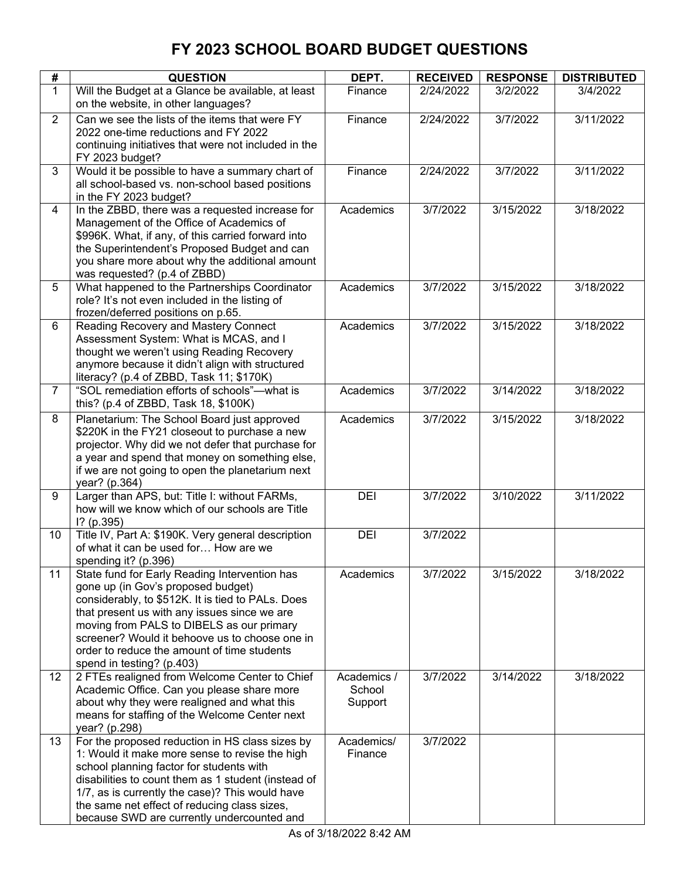| #              | <b>QUESTION</b>                                                                                                                                                                                                                                                                                                                                                     | DEPT.                            | <b>RECEIVED</b> | <b>RESPONSE</b> | <b>DISTRIBUTED</b> |
|----------------|---------------------------------------------------------------------------------------------------------------------------------------------------------------------------------------------------------------------------------------------------------------------------------------------------------------------------------------------------------------------|----------------------------------|-----------------|-----------------|--------------------|
| $\mathbf{1}$   | Will the Budget at a Glance be available, at least<br>on the website, in other languages?                                                                                                                                                                                                                                                                           | Finance                          | 2/24/2022       | 3/2/2022        | 3/4/2022           |
| $\overline{2}$ | Can we see the lists of the items that were FY<br>2022 one-time reductions and FY 2022<br>continuing initiatives that were not included in the<br>FY 2023 budget?                                                                                                                                                                                                   | Finance                          | 2/24/2022       | 3/7/2022        | 3/11/2022          |
| 3              | Would it be possible to have a summary chart of<br>all school-based vs. non-school based positions<br>in the FY 2023 budget?                                                                                                                                                                                                                                        | Finance                          | 2/24/2022       | 3/7/2022        | 3/11/2022          |
| 4              | In the ZBBD, there was a requested increase for<br>Management of the Office of Academics of<br>\$996K. What, if any, of this carried forward into<br>the Superintendent's Proposed Budget and can<br>you share more about why the additional amount<br>was requested? (p.4 of ZBBD)                                                                                 | Academics                        | 3/7/2022        | 3/15/2022       | 3/18/2022          |
| 5              | What happened to the Partnerships Coordinator<br>role? It's not even included in the listing of<br>frozen/deferred positions on p.65.                                                                                                                                                                                                                               | Academics                        | 3/7/2022        | 3/15/2022       | 3/18/2022          |
| $6\phantom{a}$ | Reading Recovery and Mastery Connect<br>Assessment System: What is MCAS, and I<br>thought we weren't using Reading Recovery<br>anymore because it didn't align with structured<br>literacy? (p.4 of ZBBD, Task 11; \$170K)                                                                                                                                          | Academics                        | 3/7/2022        | 3/15/2022       | 3/18/2022          |
| $\overline{7}$ | "SOL remediation efforts of schools"-- what is<br>this? (p.4 of ZBBD, Task 18, \$100K)                                                                                                                                                                                                                                                                              | Academics                        | 3/7/2022        | 3/14/2022       | 3/18/2022          |
| 8              | Planetarium: The School Board just approved<br>\$220K in the FY21 closeout to purchase a new<br>projector. Why did we not defer that purchase for<br>a year and spend that money on something else,<br>if we are not going to open the planetarium next<br>year? (p.364)                                                                                            | Academics                        | 3/7/2022        | 3/15/2022       | 3/18/2022          |
| 9              | Larger than APS, but: Title I: without FARMs,<br>how will we know which of our schools are Title<br>$1?$ (p.395)                                                                                                                                                                                                                                                    | DEI                              | 3/7/2022        | 3/10/2022       | 3/11/2022          |
| 10             | Title IV, Part A: \$190K. Very general description<br>of what it can be used for How are we<br>spending it? (p.396)                                                                                                                                                                                                                                                 | DEI                              | 3/7/2022        |                 |                    |
| 11             | State fund for Early Reading Intervention has<br>gone up (in Gov's proposed budget)<br>considerably, to \$512K. It is tied to PALs. Does<br>that present us with any issues since we are<br>moving from PALS to DIBELS as our primary<br>screener? Would it behoove us to choose one in<br>order to reduce the amount of time students<br>spend in testing? (p.403) | Academics                        | 3/7/2022        | 3/15/2022       | 3/18/2022          |
| 12             | 2 FTEs realigned from Welcome Center to Chief<br>Academic Office. Can you please share more<br>about why they were realigned and what this<br>means for staffing of the Welcome Center next<br>year? (p.298)                                                                                                                                                        | Academics /<br>School<br>Support | 3/7/2022        | 3/14/2022       | 3/18/2022          |
| 13             | For the proposed reduction in HS class sizes by<br>1: Would it make more sense to revise the high<br>school planning factor for students with<br>disabilities to count them as 1 student (instead of<br>1/7, as is currently the case)? This would have<br>the same net effect of reducing class sizes,<br>because SWD are currently undercounted and               | Academics/<br>Finance            | 3/7/2022        |                 |                    |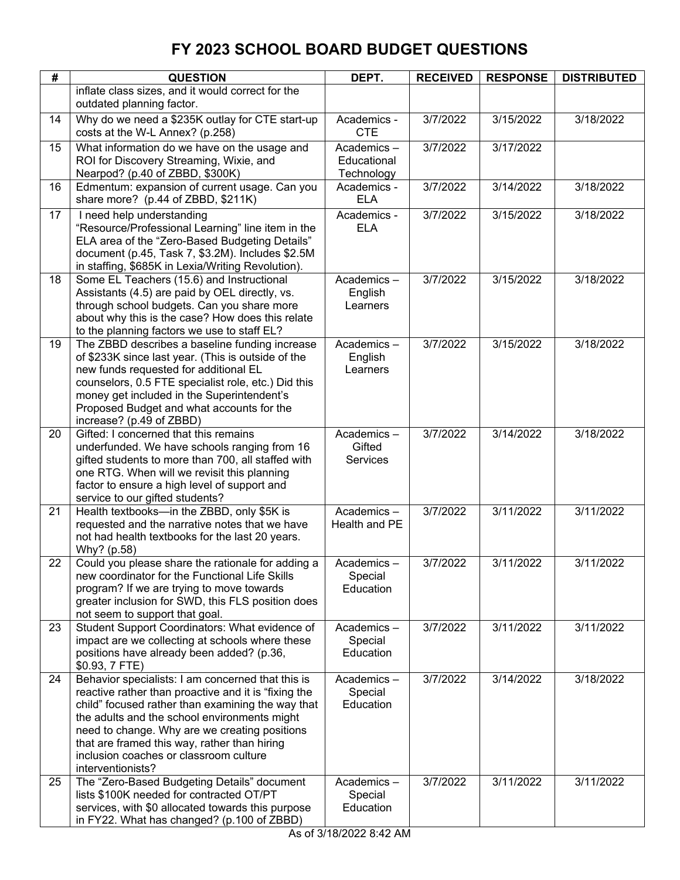| #  | <b>QUESTION</b>                                                                                                                                                                                                                                                                                                                                                                | DEPT.                                   | <b>RECEIVED</b> | <b>RESPONSE</b> | <b>DISTRIBUTED</b> |
|----|--------------------------------------------------------------------------------------------------------------------------------------------------------------------------------------------------------------------------------------------------------------------------------------------------------------------------------------------------------------------------------|-----------------------------------------|-----------------|-----------------|--------------------|
|    | inflate class sizes, and it would correct for the<br>outdated planning factor.                                                                                                                                                                                                                                                                                                 |                                         |                 |                 |                    |
| 14 | Why do we need a \$235K outlay for CTE start-up<br>costs at the W-L Annex? (p.258)                                                                                                                                                                                                                                                                                             | Academics -<br><b>CTE</b>               | 3/7/2022        | 3/15/2022       | 3/18/2022          |
| 15 | What information do we have on the usage and<br>ROI for Discovery Streaming, Wixie, and<br>Nearpod? (p.40 of ZBBD, \$300K)                                                                                                                                                                                                                                                     | Academics-<br>Educational<br>Technology | 3/7/2022        | 3/17/2022       |                    |
| 16 | Edmentum: expansion of current usage. Can you<br>share more? (p.44 of ZBBD, \$211K)                                                                                                                                                                                                                                                                                            | Academics -<br><b>ELA</b>               | 3/7/2022        | 3/14/2022       | 3/18/2022          |
| 17 | I need help understanding<br>"Resource/Professional Learning" line item in the<br>ELA area of the "Zero-Based Budgeting Details"<br>document (p.45, Task 7, \$3.2M). Includes \$2.5M<br>in staffing, \$685K in Lexia/Writing Revolution).                                                                                                                                      | Academics -<br><b>ELA</b>               | 3/7/2022        | 3/15/2022       | 3/18/2022          |
| 18 | Some EL Teachers (15.6) and Instructional<br>Assistants (4.5) are paid by OEL directly, vs.<br>through school budgets. Can you share more<br>about why this is the case? How does this relate<br>to the planning factors we use to staff EL?                                                                                                                                   | Academics-<br>English<br>Learners       | 3/7/2022        | 3/15/2022       | 3/18/2022          |
| 19 | The ZBBD describes a baseline funding increase<br>of \$233K since last year. (This is outside of the<br>new funds requested for additional EL<br>counselors, 0.5 FTE specialist role, etc.) Did this<br>money get included in the Superintendent's<br>Proposed Budget and what accounts for the<br>increase? (p.49 of ZBBD)                                                    | Academics-<br>English<br>Learners       | 3/7/2022        | 3/15/2022       | 3/18/2022          |
| 20 | Gifted: I concerned that this remains<br>underfunded. We have schools ranging from 16<br>gifted students to more than 700, all staffed with<br>one RTG. When will we revisit this planning<br>factor to ensure a high level of support and<br>service to our gifted students?                                                                                                  | Academics-<br>Gifted<br><b>Services</b> | 3/7/2022        | 3/14/2022       | 3/18/2022          |
| 21 | Health textbooks-in the ZBBD, only \$5K is<br>requested and the narrative notes that we have<br>not had health textbooks for the last 20 years.<br>Why? (p.58)                                                                                                                                                                                                                 | Academics-<br>Health and PE             | 3/7/2022        | 3/11/2022       | 3/11/2022          |
| 22 | Could you please share the rationale for adding a<br>new coordinator for the Functional Life Skills<br>program? If we are trying to move towards<br>greater inclusion for SWD, this FLS position does<br>not seem to support that goal.                                                                                                                                        | Academics -<br>Special<br>Education     | 3/7/2022        | 3/11/2022       | 3/11/2022          |
| 23 | Student Support Coordinators: What evidence of<br>impact are we collecting at schools where these<br>positions have already been added? (p.36,<br>\$0.93, 7 FTE)                                                                                                                                                                                                               | Academics-<br>Special<br>Education      | 3/7/2022        | 3/11/2022       | 3/11/2022          |
| 24 | Behavior specialists: I am concerned that this is<br>reactive rather than proactive and it is "fixing the<br>child" focused rather than examining the way that<br>the adults and the school environments might<br>need to change. Why are we creating positions<br>that are framed this way, rather than hiring<br>inclusion coaches or classroom culture<br>interventionists? | Academics-<br>Special<br>Education      | 3/7/2022        | 3/14/2022       | 3/18/2022          |
| 25 | The "Zero-Based Budgeting Details" document<br>lists \$100K needed for contracted OT/PT<br>services, with \$0 allocated towards this purpose<br>in FY22. What has changed? (p.100 of ZBBD)                                                                                                                                                                                     | Academics-<br>Special<br>Education      | 3/7/2022        | 3/11/2022       | 3/11/2022          |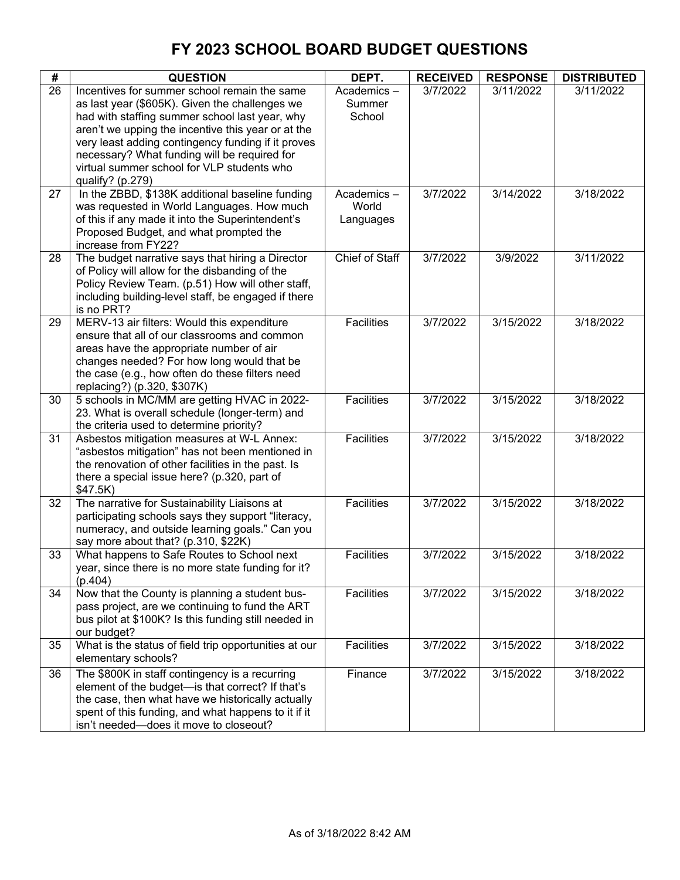| #  | <b>QUESTION</b>                                                                                                                                                                                                                                                                                                                                                                | DEPT.                            | <b>RECEIVED</b> | <b>RESPONSE</b> | <b>DISTRIBUTED</b> |
|----|--------------------------------------------------------------------------------------------------------------------------------------------------------------------------------------------------------------------------------------------------------------------------------------------------------------------------------------------------------------------------------|----------------------------------|-----------------|-----------------|--------------------|
| 26 | Incentives for summer school remain the same<br>as last year (\$605K). Given the challenges we<br>had with staffing summer school last year, why<br>aren't we upping the incentive this year or at the<br>very least adding contingency funding if it proves<br>necessary? What funding will be required for<br>virtual summer school for VLP students who<br>qualify? (p.279) | Academics-<br>Summer<br>School   | 3/7/2022        | 3/11/2022       | 3/11/2022          |
| 27 | In the ZBBD, \$138K additional baseline funding<br>was requested in World Languages. How much<br>of this if any made it into the Superintendent's<br>Proposed Budget, and what prompted the<br>increase from FY22?                                                                                                                                                             | Academics-<br>World<br>Languages | 3/7/2022        | 3/14/2022       | 3/18/2022          |
| 28 | The budget narrative says that hiring a Director<br>of Policy will allow for the disbanding of the<br>Policy Review Team. (p.51) How will other staff,<br>including building-level staff, be engaged if there<br>is no PRT?                                                                                                                                                    | <b>Chief of Staff</b>            | 3/7/2022        | 3/9/2022        | 3/11/2022          |
| 29 | MERV-13 air filters: Would this expenditure<br>ensure that all of our classrooms and common<br>areas have the appropriate number of air<br>changes needed? For how long would that be<br>the case (e.g., how often do these filters need<br>replacing?) (p.320, \$307K)                                                                                                        | Facilities                       | 3/7/2022        | 3/15/2022       | 3/18/2022          |
| 30 | 5 schools in MC/MM are getting HVAC in 2022-<br>23. What is overall schedule (longer-term) and<br>the criteria used to determine priority?                                                                                                                                                                                                                                     | Facilities                       | 3/7/2022        | 3/15/2022       | 3/18/2022          |
| 31 | Asbestos mitigation measures at W-L Annex:<br>"asbestos mitigation" has not been mentioned in<br>the renovation of other facilities in the past. Is<br>there a special issue here? (p.320, part of<br>\$47.5K)                                                                                                                                                                 | Facilities                       | 3/7/2022        | 3/15/2022       | 3/18/2022          |
| 32 | The narrative for Sustainability Liaisons at<br>participating schools says they support "literacy,<br>numeracy, and outside learning goals." Can you<br>say more about that? (p.310, \$22K)                                                                                                                                                                                    | Facilities                       | 3/7/2022        | 3/15/2022       | 3/18/2022          |
| 33 | What happens to Safe Routes to School next<br>year, since there is no more state funding for it?<br>(p.404)                                                                                                                                                                                                                                                                    | <b>Facilities</b>                | 3/7/2022        | 3/15/2022       | 3/18/2022          |
| 34 | Now that the County is planning a student bus-<br>pass project, are we continuing to fund the ART<br>bus pilot at \$100K? Is this funding still needed in<br>our budget?                                                                                                                                                                                                       | Facilities                       | 3/7/2022        | 3/15/2022       | 3/18/2022          |
| 35 | What is the status of field trip opportunities at our<br>elementary schools?                                                                                                                                                                                                                                                                                                   | Facilities                       | 3/7/2022        | 3/15/2022       | 3/18/2022          |
| 36 | The \$800K in staff contingency is a recurring<br>element of the budget-is that correct? If that's<br>the case, then what have we historically actually<br>spent of this funding, and what happens to it if it<br>isn't needed-does it move to closeout?                                                                                                                       | Finance                          | 3/7/2022        | 3/15/2022       | 3/18/2022          |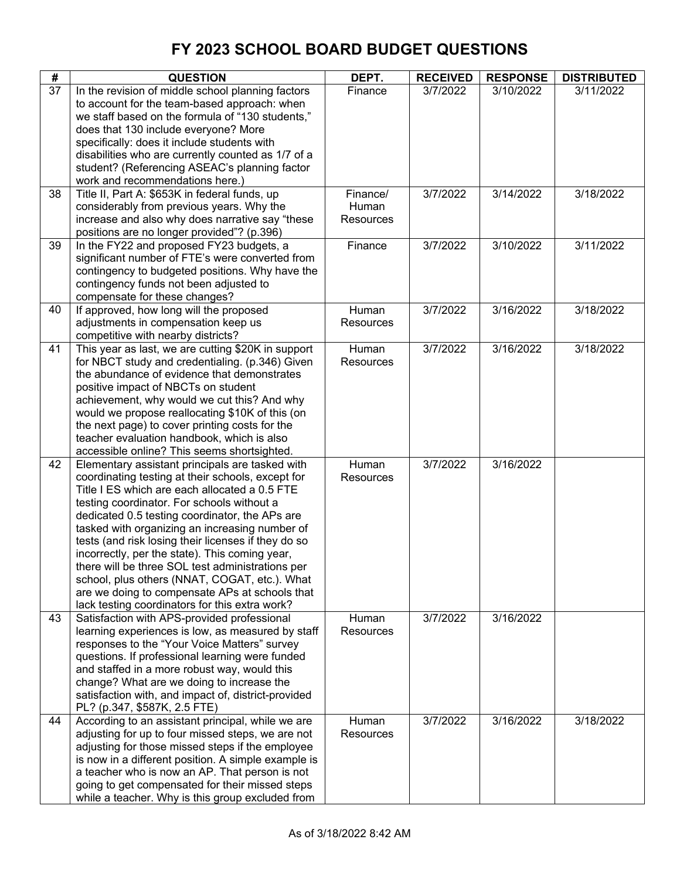| #  | <b>QUESTION</b>                                                                                                                                                                                                                                                                                                                                                                                                                                                                                                                                                                                                           | DEPT.                          | <b>RECEIVED</b> | <b>RESPONSE</b> | <b>DISTRIBUTED</b> |
|----|---------------------------------------------------------------------------------------------------------------------------------------------------------------------------------------------------------------------------------------------------------------------------------------------------------------------------------------------------------------------------------------------------------------------------------------------------------------------------------------------------------------------------------------------------------------------------------------------------------------------------|--------------------------------|-----------------|-----------------|--------------------|
| 37 | In the revision of middle school planning factors<br>to account for the team-based approach: when<br>we staff based on the formula of "130 students,"<br>does that 130 include everyone? More<br>specifically: does it include students with<br>disabilities who are currently counted as 1/7 of a<br>student? (Referencing ASEAC's planning factor                                                                                                                                                                                                                                                                       | Finance                        | 3/7/2022        | 3/10/2022       | 3/11/2022          |
| 38 | work and recommendations here.)<br>Title II, Part A: \$653K in federal funds, up<br>considerably from previous years. Why the<br>increase and also why does narrative say "these<br>positions are no longer provided"? (p.396)                                                                                                                                                                                                                                                                                                                                                                                            | Finance/<br>Human<br>Resources | 3/7/2022        | 3/14/2022       | 3/18/2022          |
| 39 | In the FY22 and proposed FY23 budgets, a<br>significant number of FTE's were converted from<br>contingency to budgeted positions. Why have the<br>contingency funds not been adjusted to<br>compensate for these changes?                                                                                                                                                                                                                                                                                                                                                                                                 | Finance                        | 3/7/2022        | 3/10/2022       | 3/11/2022          |
| 40 | If approved, how long will the proposed<br>adjustments in compensation keep us<br>competitive with nearby districts?                                                                                                                                                                                                                                                                                                                                                                                                                                                                                                      | Human<br>Resources             | 3/7/2022        | 3/16/2022       | 3/18/2022          |
| 41 | This year as last, we are cutting \$20K in support<br>for NBCT study and credentialing. (p.346) Given<br>the abundance of evidence that demonstrates<br>positive impact of NBCTs on student<br>achievement, why would we cut this? And why<br>would we propose reallocating \$10K of this (on<br>the next page) to cover printing costs for the<br>teacher evaluation handbook, which is also<br>accessible online? This seems shortsighted.                                                                                                                                                                              | Human<br>Resources             | 3/7/2022        | 3/16/2022       | 3/18/2022          |
| 42 | Elementary assistant principals are tasked with<br>coordinating testing at their schools, except for<br>Title I ES which are each allocated a 0.5 FTE<br>testing coordinator. For schools without a<br>dedicated 0.5 testing coordinator, the APs are<br>tasked with organizing an increasing number of<br>tests (and risk losing their licenses if they do so<br>incorrectly, per the state). This coming year,<br>there will be three SOL test administrations per<br>school, plus others (NNAT, COGAT, etc.). What<br>are we doing to compensate APs at schools that<br>lack testing coordinators for this extra work? | Human<br>Resources             | 3/7/2022        | 3/16/2022       |                    |
| 43 | Satisfaction with APS-provided professional<br>learning experiences is low, as measured by staff<br>responses to the "Your Voice Matters" survey<br>questions. If professional learning were funded<br>and staffed in a more robust way, would this<br>change? What are we doing to increase the<br>satisfaction with, and impact of, district-provided<br>PL? (p.347, \$587K, 2.5 FTE)                                                                                                                                                                                                                                   | Human<br><b>Resources</b>      | 3/7/2022        | 3/16/2022       |                    |
| 44 | According to an assistant principal, while we are<br>adjusting for up to four missed steps, we are not<br>adjusting for those missed steps if the employee<br>is now in a different position. A simple example is<br>a teacher who is now an AP. That person is not<br>going to get compensated for their missed steps<br>while a teacher. Why is this group excluded from                                                                                                                                                                                                                                                | Human<br>Resources             | 3/7/2022        | 3/16/2022       | 3/18/2022          |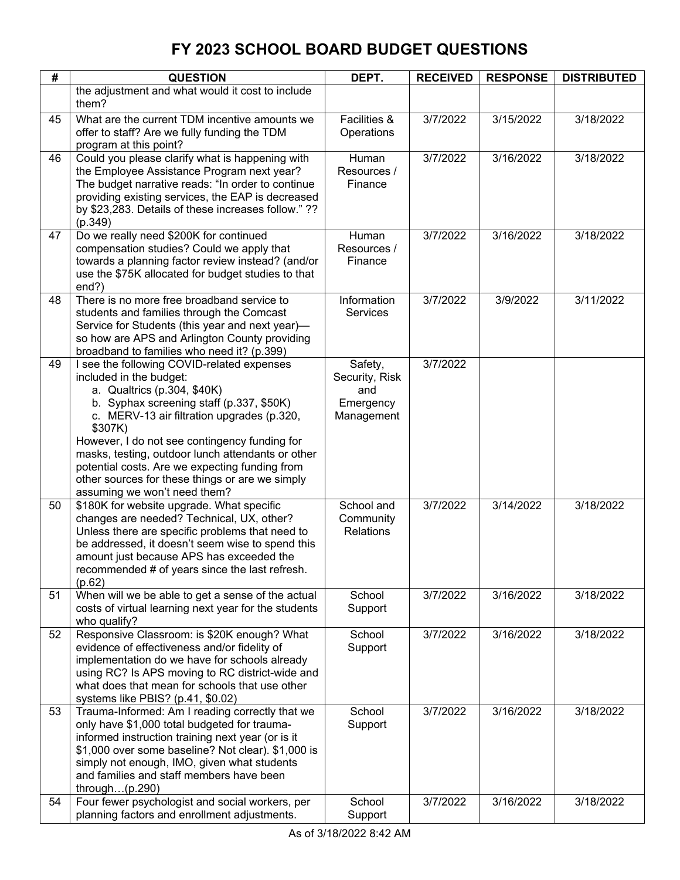| #  | <b>QUESTION</b>                                                                                         | DEPT.                | <b>RECEIVED</b> | <b>RESPONSE</b> | <b>DISTRIBUTED</b> |
|----|---------------------------------------------------------------------------------------------------------|----------------------|-----------------|-----------------|--------------------|
|    | the adjustment and what would it cost to include                                                        |                      |                 |                 |                    |
|    | them?                                                                                                   |                      |                 |                 |                    |
| 45 | What are the current TDM incentive amounts we                                                           | Facilities &         | 3/7/2022        | 3/15/2022       | 3/18/2022          |
|    | offer to staff? Are we fully funding the TDM                                                            | Operations           |                 |                 |                    |
|    | program at this point?                                                                                  |                      |                 |                 |                    |
| 46 | Could you please clarify what is happening with                                                         | Human                | 3/7/2022        | 3/16/2022       | 3/18/2022          |
|    | the Employee Assistance Program next year?                                                              | Resources /          |                 |                 |                    |
|    | The budget narrative reads: "In order to continue                                                       | Finance              |                 |                 |                    |
|    | providing existing services, the EAP is decreased                                                       |                      |                 |                 |                    |
|    | by \$23,283. Details of these increases follow." ??                                                     |                      |                 |                 |                    |
| 47 | (p.349)                                                                                                 |                      | 3/7/2022        | 3/16/2022       |                    |
|    | Do we really need \$200K for continued<br>compensation studies? Could we apply that                     | Human<br>Resources / |                 |                 | 3/18/2022          |
|    | towards a planning factor review instead? (and/or                                                       | Finance              |                 |                 |                    |
|    | use the \$75K allocated for budget studies to that                                                      |                      |                 |                 |                    |
|    | end?)                                                                                                   |                      |                 |                 |                    |
| 48 | There is no more free broadband service to                                                              | Information          | 3/7/2022        | 3/9/2022        | 3/11/2022          |
|    | students and families through the Comcast                                                               | <b>Services</b>      |                 |                 |                    |
|    | Service for Students (this year and next year)-                                                         |                      |                 |                 |                    |
|    | so how are APS and Arlington County providing                                                           |                      |                 |                 |                    |
|    | broadband to families who need it? (p.399)                                                              |                      |                 |                 |                    |
| 49 | I see the following COVID-related expenses                                                              | Safety,              | 3/7/2022        |                 |                    |
|    | included in the budget:                                                                                 | Security, Risk       |                 |                 |                    |
|    | a. Qualtrics (p.304, \$40K)                                                                             | and                  |                 |                 |                    |
|    | b. Syphax screening staff (p.337, \$50K)                                                                | Emergency            |                 |                 |                    |
|    | c. MERV-13 air filtration upgrades (p.320,<br>\$307K)                                                   | Management           |                 |                 |                    |
|    | However, I do not see contingency funding for                                                           |                      |                 |                 |                    |
|    | masks, testing, outdoor lunch attendants or other                                                       |                      |                 |                 |                    |
|    | potential costs. Are we expecting funding from                                                          |                      |                 |                 |                    |
|    | other sources for these things or are we simply                                                         |                      |                 |                 |                    |
|    | assuming we won't need them?                                                                            |                      |                 |                 |                    |
| 50 | \$180K for website upgrade. What specific                                                               | School and           | 3/7/2022        | 3/14/2022       | 3/18/2022          |
|    | changes are needed? Technical, UX, other?                                                               | Community            |                 |                 |                    |
|    | Unless there are specific problems that need to                                                         | <b>Relations</b>     |                 |                 |                    |
|    | be addressed, it doesn't seem wise to spend this                                                        |                      |                 |                 |                    |
|    | amount just because APS has exceeded the                                                                |                      |                 |                 |                    |
|    | recommended # of years since the last refresh.<br>(p.62)                                                |                      |                 |                 |                    |
| 51 | When will we be able to get a sense of the actual                                                       | School               | 3/7/2022        | 3/16/2022       | 3/18/2022          |
|    | costs of virtual learning next year for the students                                                    | Support              |                 |                 |                    |
|    | who qualify?                                                                                            |                      |                 |                 |                    |
| 52 | Responsive Classroom: is \$20K enough? What                                                             | School               | 3/7/2022        | 3/16/2022       | 3/18/2022          |
|    | evidence of effectiveness and/or fidelity of                                                            | Support              |                 |                 |                    |
|    | implementation do we have for schools already                                                           |                      |                 |                 |                    |
|    | using RC? Is APS moving to RC district-wide and                                                         |                      |                 |                 |                    |
|    | what does that mean for schools that use other                                                          |                      |                 |                 |                    |
|    | systems like PBIS? (p.41, \$0.02)                                                                       |                      |                 |                 |                    |
| 53 | Trauma-Informed: Am I reading correctly that we                                                         | School               | 3/7/2022        | 3/16/2022       | 3/18/2022          |
|    | only have \$1,000 total budgeted for trauma-                                                            | Support              |                 |                 |                    |
|    | informed instruction training next year (or is it<br>\$1,000 over some baseline? Not clear). \$1,000 is |                      |                 |                 |                    |
|    | simply not enough, IMO, given what students                                                             |                      |                 |                 |                    |
|    | and families and staff members have been                                                                |                      |                 |                 |                    |
|    | through $(p.290)$                                                                                       |                      |                 |                 |                    |
| 54 | Four fewer psychologist and social workers, per                                                         | School               | 3/7/2022        | 3/16/2022       | 3/18/2022          |
|    | planning factors and enrollment adjustments.                                                            | Support              |                 |                 |                    |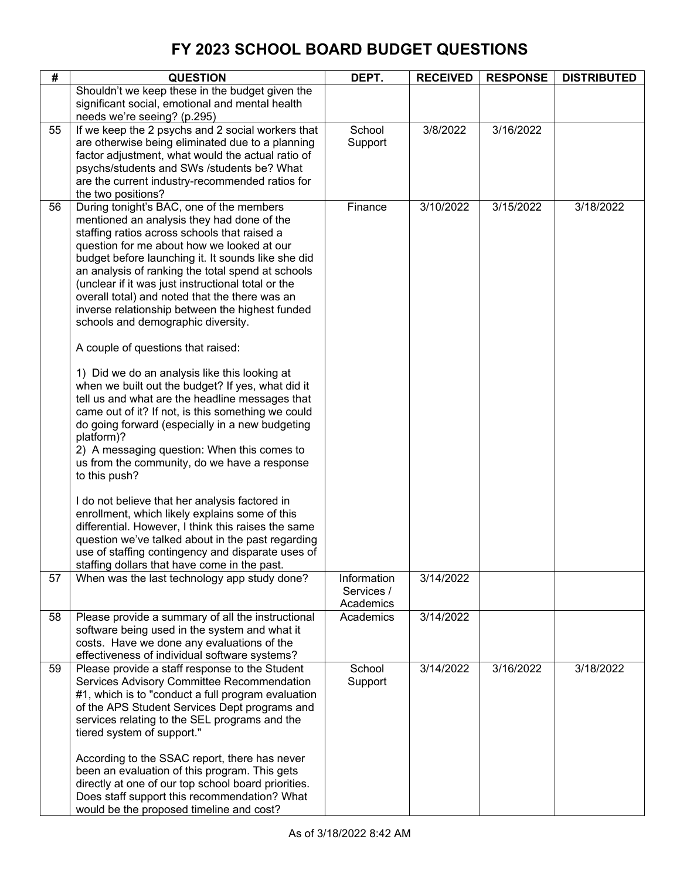| #  | <b>QUESTION</b>                                                                                                                                                                                                                                                                                                                                                                                                                                                                                                                                                                                                                                                                                                                                                                                                                                                                                                                                                                                                                                                                                                                                        | DEPT.                                  | <b>RECEIVED</b> | <b>RESPONSE</b> | <b>DISTRIBUTED</b> |
|----|--------------------------------------------------------------------------------------------------------------------------------------------------------------------------------------------------------------------------------------------------------------------------------------------------------------------------------------------------------------------------------------------------------------------------------------------------------------------------------------------------------------------------------------------------------------------------------------------------------------------------------------------------------------------------------------------------------------------------------------------------------------------------------------------------------------------------------------------------------------------------------------------------------------------------------------------------------------------------------------------------------------------------------------------------------------------------------------------------------------------------------------------------------|----------------------------------------|-----------------|-----------------|--------------------|
|    | Shouldn't we keep these in the budget given the<br>significant social, emotional and mental health<br>needs we're seeing? (p.295)                                                                                                                                                                                                                                                                                                                                                                                                                                                                                                                                                                                                                                                                                                                                                                                                                                                                                                                                                                                                                      |                                        |                 |                 |                    |
| 55 | If we keep the 2 psychs and 2 social workers that<br>are otherwise being eliminated due to a planning<br>factor adjustment, what would the actual ratio of<br>psychs/students and SWs /students be? What<br>are the current industry-recommended ratios for<br>the two positions?                                                                                                                                                                                                                                                                                                                                                                                                                                                                                                                                                                                                                                                                                                                                                                                                                                                                      | School<br>Support                      | 3/8/2022        | 3/16/2022       |                    |
| 56 | During tonight's BAC, one of the members<br>mentioned an analysis they had done of the<br>staffing ratios across schools that raised a<br>question for me about how we looked at our<br>budget before launching it. It sounds like she did<br>an analysis of ranking the total spend at schools<br>(unclear if it was just instructional total or the<br>overall total) and noted that the there was an<br>inverse relationship between the highest funded<br>schools and demographic diversity.<br>A couple of questions that raised:<br>1) Did we do an analysis like this looking at<br>when we built out the budget? If yes, what did it<br>tell us and what are the headline messages that<br>came out of it? If not, is this something we could<br>do going forward (especially in a new budgeting<br>platform)?<br>2) A messaging question: When this comes to<br>us from the community, do we have a response<br>to this push?<br>I do not believe that her analysis factored in<br>enrollment, which likely explains some of this<br>differential. However, I think this raises the same<br>question we've talked about in the past regarding | Finance                                | 3/10/2022       | 3/15/2022       | 3/18/2022          |
|    | use of staffing contingency and disparate uses of<br>staffing dollars that have come in the past.                                                                                                                                                                                                                                                                                                                                                                                                                                                                                                                                                                                                                                                                                                                                                                                                                                                                                                                                                                                                                                                      |                                        |                 |                 |                    |
| 57 | When was the last technology app study done?                                                                                                                                                                                                                                                                                                                                                                                                                                                                                                                                                                                                                                                                                                                                                                                                                                                                                                                                                                                                                                                                                                           | Information<br>Services /<br>Academics | 3/14/2022       |                 |                    |
| 58 | Please provide a summary of all the instructional<br>software being used in the system and what it<br>costs. Have we done any evaluations of the<br>effectiveness of individual software systems?                                                                                                                                                                                                                                                                                                                                                                                                                                                                                                                                                                                                                                                                                                                                                                                                                                                                                                                                                      | Academics                              | 3/14/2022       |                 |                    |
| 59 | Please provide a staff response to the Student<br>Services Advisory Committee Recommendation<br>#1, which is to "conduct a full program evaluation<br>of the APS Student Services Dept programs and<br>services relating to the SEL programs and the<br>tiered system of support."<br>According to the SSAC report, there has never<br>been an evaluation of this program. This gets<br>directly at one of our top school board priorities.<br>Does staff support this recommendation? What<br>would be the proposed timeline and cost?                                                                                                                                                                                                                                                                                                                                                                                                                                                                                                                                                                                                                | School<br>Support                      | 3/14/2022       | 3/16/2022       | 3/18/2022          |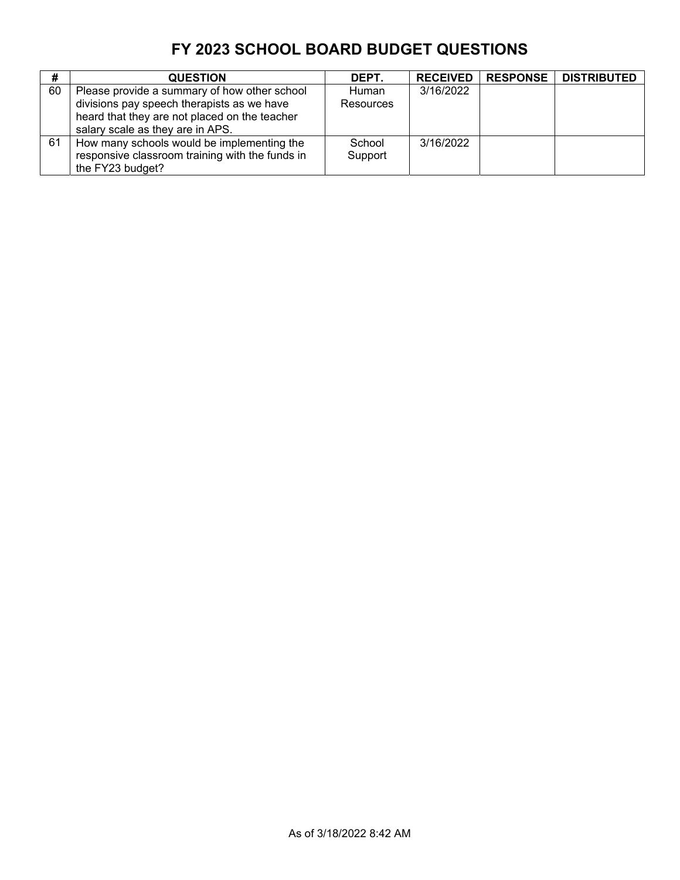| #  | <b>QUESTION</b>                                                                                                                                                                 | DEPT.                     | <b>RECEIVED</b> | <b>RESPONSE</b> | <b>DISTRIBUTED</b> |
|----|---------------------------------------------------------------------------------------------------------------------------------------------------------------------------------|---------------------------|-----------------|-----------------|--------------------|
| 60 | Please provide a summary of how other school<br>divisions pay speech therapists as we have<br>heard that they are not placed on the teacher<br>salary scale as they are in APS. | <b>Human</b><br>Resources | 3/16/2022       |                 |                    |
| 61 | How many schools would be implementing the<br>responsive classroom training with the funds in<br>the FY23 budget?                                                               | School<br>Support         | 3/16/2022       |                 |                    |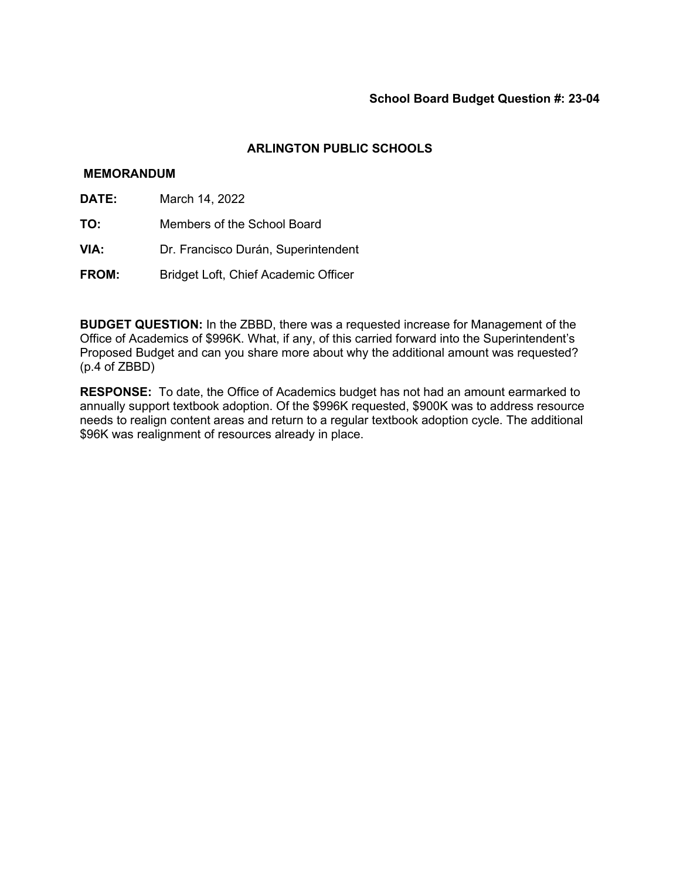### **MEMORANDUM**

- **DATE:** March 14, 2022
- **TO:** Members of the School Board
- **VIA:** Dr. Francisco Durán, Superintendent
- **FROM:** Bridget Loft, Chief Academic Officer

**BUDGET QUESTION:** In the ZBBD, there was a requested increase for Management of the Office of Academics of \$996K. What, if any, of this carried forward into the Superintendent's Proposed Budget and can you share more about why the additional amount was requested? (p.4 of ZBBD)

**RESPONSE:** To date, the Office of Academics budget has not had an amount earmarked to annually support textbook adoption. Of the \$996K requested, \$900K was to address resource needs to realign content areas and return to a regular textbook adoption cycle. The additional \$96K was realignment of resources already in place.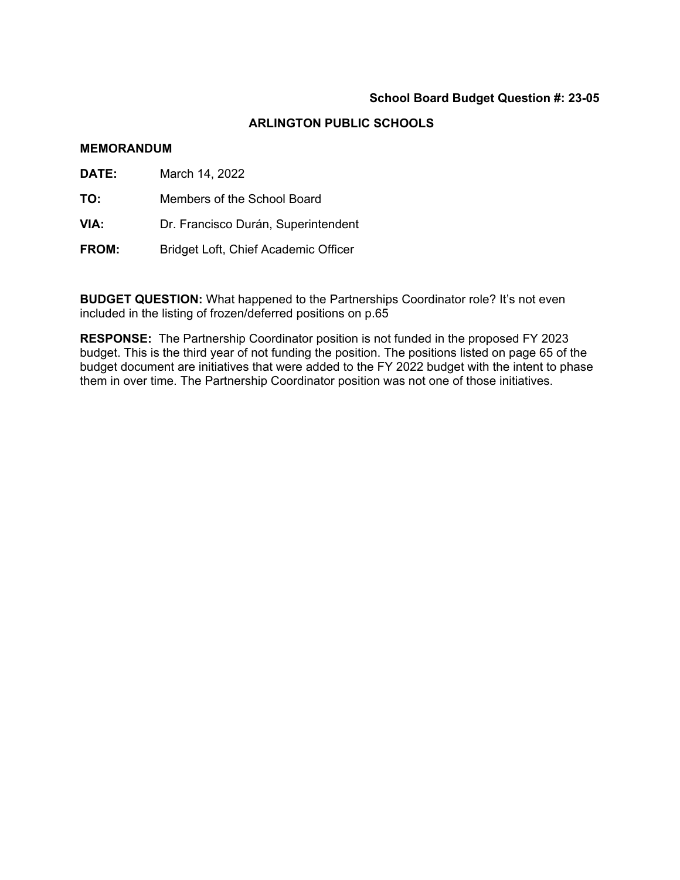# **ARLINGTON PUBLIC SCHOOLS**

#### **MEMORANDUM**

- **DATE:** March 14, 2022
- **TO:** Members of the School Board
- **VIA:** Dr. Francisco Durán, Superintendent
- **FROM:** Bridget Loft, Chief Academic Officer

**BUDGET QUESTION:** What happened to the Partnerships Coordinator role? It's not even included in the listing of frozen/deferred positions on p.65

**RESPONSE:** The Partnership Coordinator position is not funded in the proposed FY 2023 budget. This is the third year of not funding the position. The positions listed on page 65 of the budget document are initiatives that were added to the FY 2022 budget with the intent to phase them in over time. The Partnership Coordinator position was not one of those initiatives.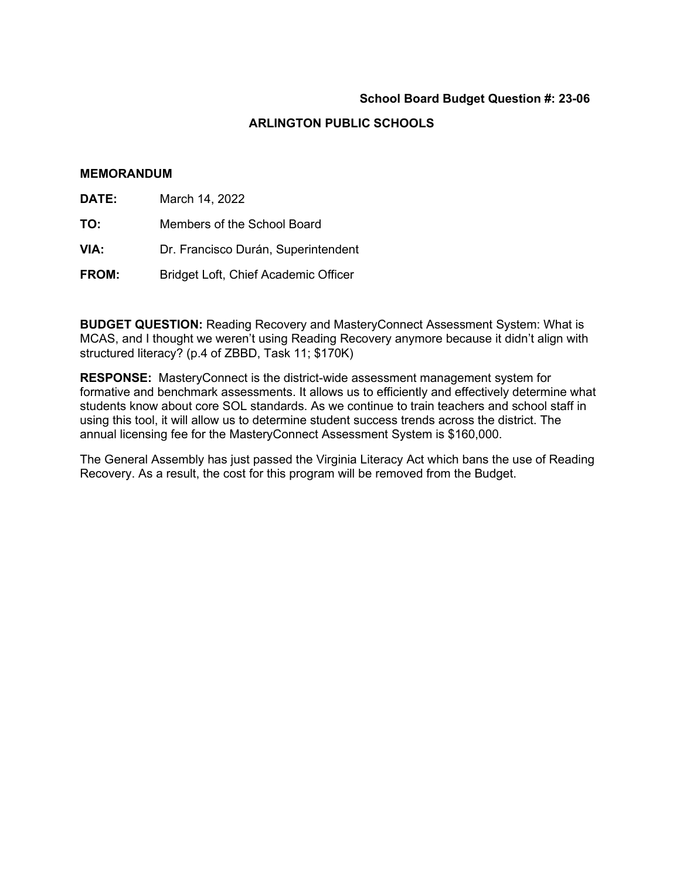# **ARLINGTON PUBLIC SCHOOLS**

#### **MEMORANDUM**

- **DATE:** March 14, 2022
- **TO:** Members of the School Board
- **VIA:** Dr. Francisco Durán, Superintendent
- **FROM:** Bridget Loft, Chief Academic Officer

**BUDGET QUESTION:** Reading Recovery and MasteryConnect Assessment System: What is MCAS, and I thought we weren't using Reading Recovery anymore because it didn't align with structured literacy? (p.4 of ZBBD, Task 11; \$170K)

**RESPONSE:** MasteryConnect is the district-wide assessment management system for formative and benchmark assessments. It allows us to efficiently and effectively determine what students know about core SOL standards. As we continue to train teachers and school staff in using this tool, it will allow us to determine student success trends across the district. The annual licensing fee for the MasteryConnect Assessment System is \$160,000.

The General Assembly has just passed the Virginia Literacy Act which bans the use of Reading Recovery. As a result, the cost for this program will be removed from the Budget.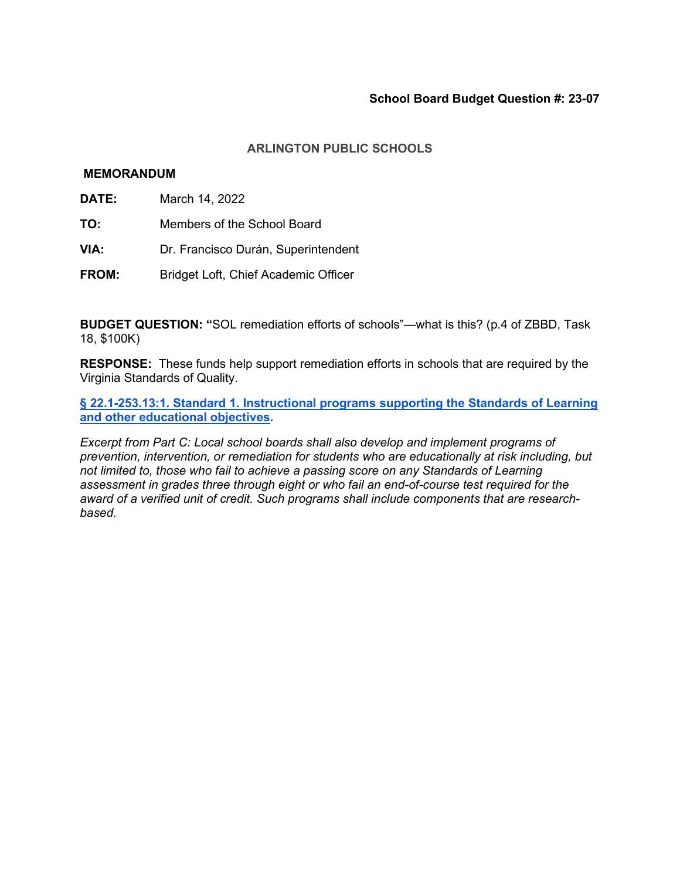## **ARLINGTON PUBLIC SCHOOLS**

#### **MEMORANDUM**

- **DATE:** March 14, 2022
- **TO:** Members of the School Board
- **VIA:** Dr. Francisco Durán, Superintendent
- **FROM:** Bridget Loft, Chief Academic Officer

**BUDGET QUESTION: "**SOL remediation efforts of schools"—what is this? (p.4 of ZBBD, Task 18, \$100K)

**RESPONSE:** These funds help support remediation efforts in schools that are required by the Virginia Standards of Quality.

**[§ 22.1-253.13:1. Standard 1. Instructional programs supporting the Standards of Learning](https://law.lis.virginia.gov/vacodefull/title22.1/chapter13.2/)  [and other educational objectives.](https://law.lis.virginia.gov/vacodefull/title22.1/chapter13.2/)**

*Excerpt from Part C: Local school boards shall also develop and implement programs of prevention, intervention, or remediation for students who are educationally at risk including, but not limited to, those who fail to achieve a passing score on any Standards of Learning assessment in grades three through eight or who fail an end-of-course test required for the award of a verified unit of credit. Such programs shall include components that are researchbased.*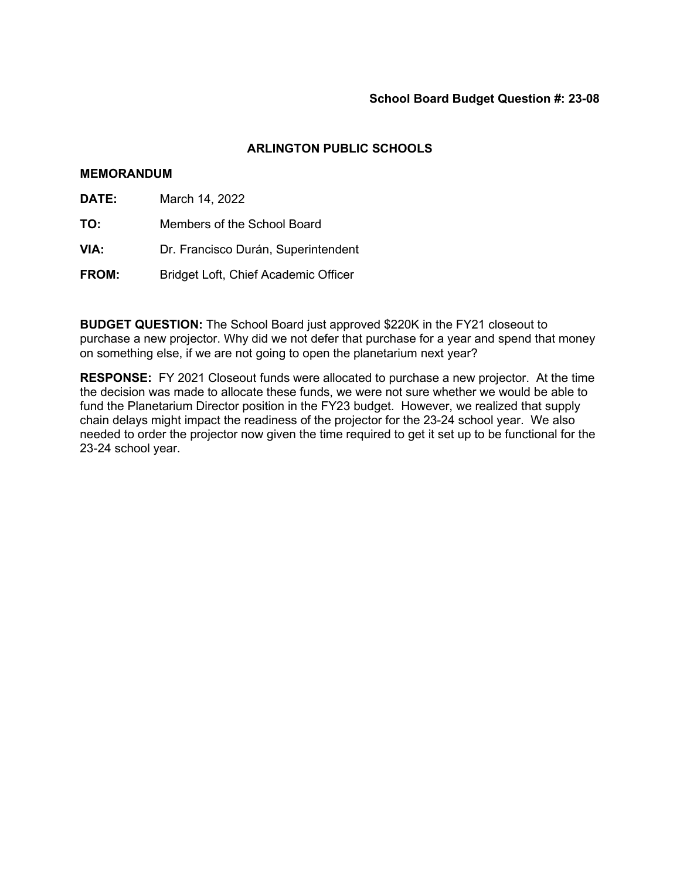#### **MEMORANDUM**

- **DATE:** March 14, 2022
- **TO:** Members of the School Board
- **VIA:** Dr. Francisco Durán, Superintendent
- **FROM:** Bridget Loft, Chief Academic Officer

**BUDGET QUESTION:** The School Board just approved \$220K in the FY21 closeout to purchase a new projector. Why did we not defer that purchase for a year and spend that money on something else, if we are not going to open the planetarium next year?

**RESPONSE:** FY 2021 Closeout funds were allocated to purchase a new projector. At the time the decision was made to allocate these funds, we were not sure whether we would be able to fund the Planetarium Director position in the FY23 budget. However, we realized that supply chain delays might impact the readiness of the projector for the 23-24 school year. We also needed to order the projector now given the time required to get it set up to be functional for the 23-24 school year.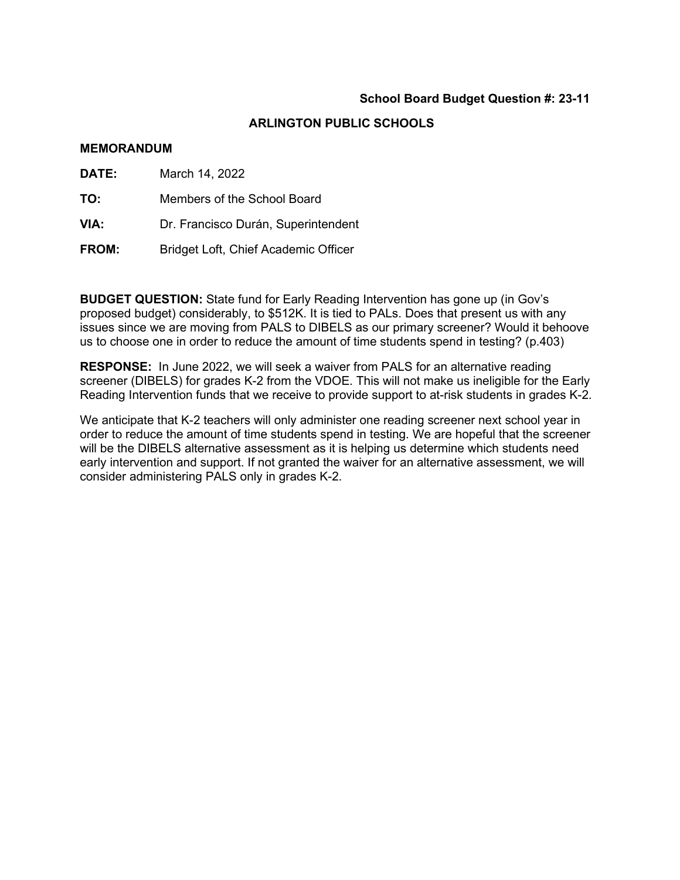# **ARLINGTON PUBLIC SCHOOLS**

#### **MEMORANDUM**

| <b>DATE:</b> | March 14, 2022                       |
|--------------|--------------------------------------|
| TO:          | Members of the School Board          |
| VIA:         | Dr. Francisco Durán, Superintendent  |
| <b>FROM:</b> | Bridget Loft, Chief Academic Officer |

**BUDGET QUESTION:** State fund for Early Reading Intervention has gone up (in Gov's proposed budget) considerably, to \$512K. It is tied to PALs. Does that present us with any issues since we are moving from PALS to DIBELS as our primary screener? Would it behoove us to choose one in order to reduce the amount of time students spend in testing? (p.403)

**RESPONSE:** In June 2022, we will seek a waiver from PALS for an alternative reading screener (DIBELS) for grades K-2 from the VDOE. This will not make us ineligible for the Early Reading Intervention funds that we receive to provide support to at-risk students in grades K-2.

We anticipate that K-2 teachers will only administer one reading screener next school year in order to reduce the amount of time students spend in testing. We are hopeful that the screener will be the DIBELS alternative assessment as it is helping us determine which students need early intervention and support. If not granted the waiver for an alternative assessment, we will consider administering PALS only in grades K-2.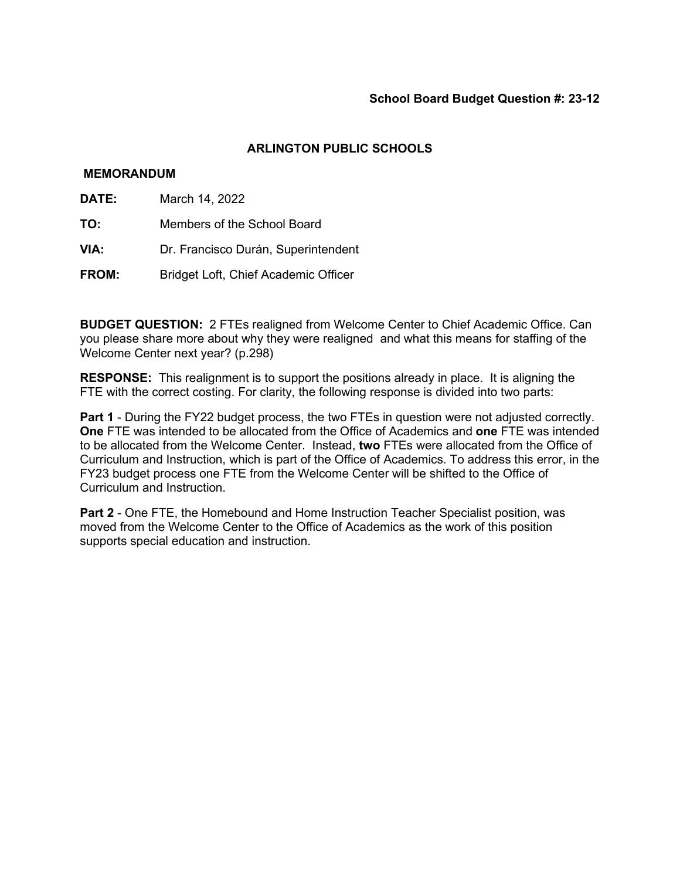### **MEMORANDUM**

- **DATE:** March 14, 2022
- **TO:** Members of the School Board
- **VIA:** Dr. Francisco Durán, Superintendent
- **FROM:** Bridget Loft, Chief Academic Officer

**BUDGET QUESTION:** 2 FTEs realigned from Welcome Center to Chief Academic Office. Can you please share more about why they were realigned and what this means for staffing of the Welcome Center next year? (p.298)

**RESPONSE:** This realignment is to support the positions already in place. It is aligning the FTE with the correct costing. For clarity, the following response is divided into two parts:

**Part 1** - During the FY22 budget process, the two FTEs in question were not adjusted correctly. **One** FTE was intended to be allocated from the Office of Academics and **one** FTE was intended to be allocated from the Welcome Center. Instead, **two** FTEs were allocated from the Office of Curriculum and Instruction, which is part of the Office of Academics. To address this error, in the FY23 budget process one FTE from the Welcome Center will be shifted to the Office of Curriculum and Instruction.

**Part 2** - One FTE, the Homebound and Home Instruction Teacher Specialist position, was moved from the Welcome Center to the Office of Academics as the work of this position supports special education and instruction.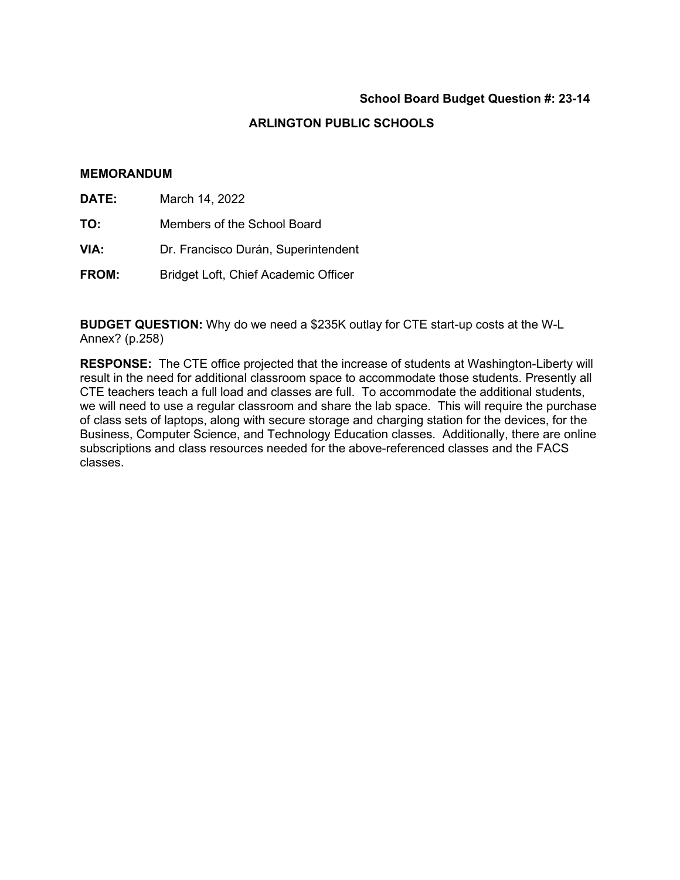# **ARLINGTON PUBLIC SCHOOLS**

#### **MEMORANDUM**

| DATE:<br>March 14, 2022 |  |
|-------------------------|--|
|-------------------------|--|

- **TO:** Members of the School Board
- **VIA:** Dr. Francisco Durán, Superintendent
- **FROM:** Bridget Loft, Chief Academic Officer

**BUDGET QUESTION:** Why do we need a \$235K outlay for CTE start-up costs at the W-L Annex? (p.258)

**RESPONSE:** The CTE office projected that the increase of students at Washington-Liberty will result in the need for additional classroom space to accommodate those students. Presently all CTE teachers teach a full load and classes are full. To accommodate the additional students, we will need to use a regular classroom and share the lab space. This will require the purchase of class sets of laptops, along with secure storage and charging station for the devices, for the Business, Computer Science, and Technology Education classes. Additionally, there are online subscriptions and class resources needed for the above-referenced classes and the FACS classes.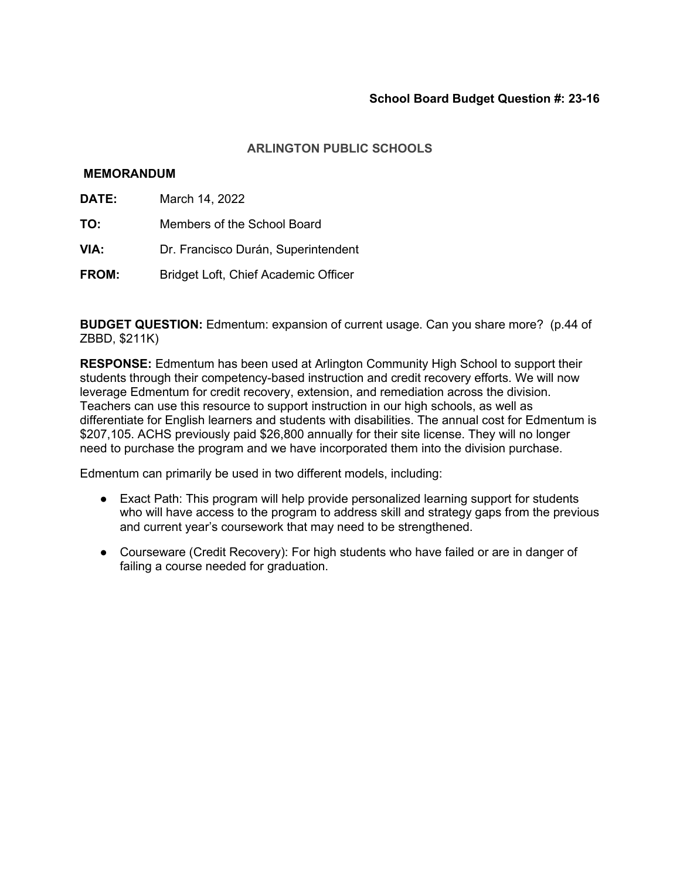## **MEMORANDUM**

- **DATE:** March 14, 2022
- **TO:** Members of the School Board
- **VIA:** Dr. Francisco Durán, Superintendent
- **FROM:** Bridget Loft, Chief Academic Officer

**BUDGET QUESTION:** Edmentum: expansion of current usage. Can you share more? (p.44 of ZBBD, \$211K)

**RESPONSE:** Edmentum has been used at Arlington Community High School to support their students through their competency-based instruction and credit recovery efforts. We will now leverage Edmentum for credit recovery, extension, and remediation across the division. Teachers can use this resource to support instruction in our high schools, as well as differentiate for English learners and students with disabilities. The annual cost for Edmentum is \$207,105. ACHS previously paid \$26,800 annually for their site license. They will no longer need to purchase the program and we have incorporated them into the division purchase.

Edmentum can primarily be used in two different models, including:

- Exact Path: This program will help provide personalized learning support for students who will have access to the program to address skill and strategy gaps from the previous and current year's coursework that may need to be strengthened.
- Courseware (Credit Recovery): For high students who have failed or are in danger of failing a course needed for graduation.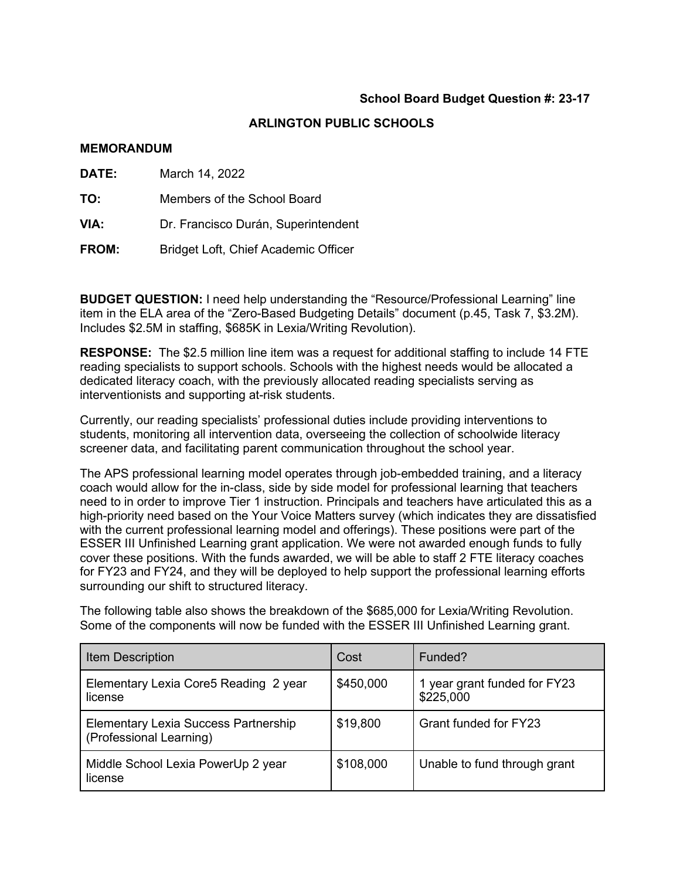# **ARLINGTON PUBLIC SCHOOLS**

#### **MEMORANDUM**

| DATE: | March 14, 2022                       |
|-------|--------------------------------------|
| TO:   | Members of the School Board          |
| VIA:  | Dr. Francisco Durán, Superintendent  |
| FROM: | Bridget Loft, Chief Academic Officer |

**BUDGET QUESTION:** I need help understanding the "Resource/Professional Learning" line item in the ELA area of the "Zero-Based Budgeting Details" document (p.45, Task 7, \$3.2M). Includes \$2.5M in staffing, \$685K in Lexia/Writing Revolution).

**RESPONSE:** The \$2.5 million line item was a request for additional staffing to include 14 FTE reading specialists to support schools. Schools with the highest needs would be allocated a dedicated literacy coach, with the previously allocated reading specialists serving as interventionists and supporting at-risk students.

Currently, our reading specialists' professional duties include providing interventions to students, monitoring all intervention data, overseeing the collection of schoolwide literacy screener data, and facilitating parent communication throughout the school year.

The APS professional learning model operates through job-embedded training, and a literacy coach would allow for the in-class, side by side model for professional learning that teachers need to in order to improve Tier 1 instruction. Principals and teachers have articulated this as a high-priority need based on the Your Voice Matters survey (which indicates they are dissatisfied with the current professional learning model and offerings). These positions were part of the ESSER III Unfinished Learning grant application. We were not awarded enough funds to fully cover these positions. With the funds awarded, we will be able to staff 2 FTE literacy coaches for FY23 and FY24, and they will be deployed to help support the professional learning efforts surrounding our shift to structured literacy.

The following table also shows the breakdown of the \$685,000 for Lexia/Writing Revolution. Some of the components will now be funded with the ESSER III Unfinished Learning grant.

| <b>Item Description</b>                                                | Cost      | Funded?                                   |
|------------------------------------------------------------------------|-----------|-------------------------------------------|
| Elementary Lexia Core5 Reading 2 year<br>license                       | \$450,000 | 1 year grant funded for FY23<br>\$225,000 |
| <b>Elementary Lexia Success Partnership</b><br>(Professional Learning) | \$19,800  | Grant funded for FY23                     |
| Middle School Lexia PowerUp 2 year<br>license                          | \$108,000 | Unable to fund through grant              |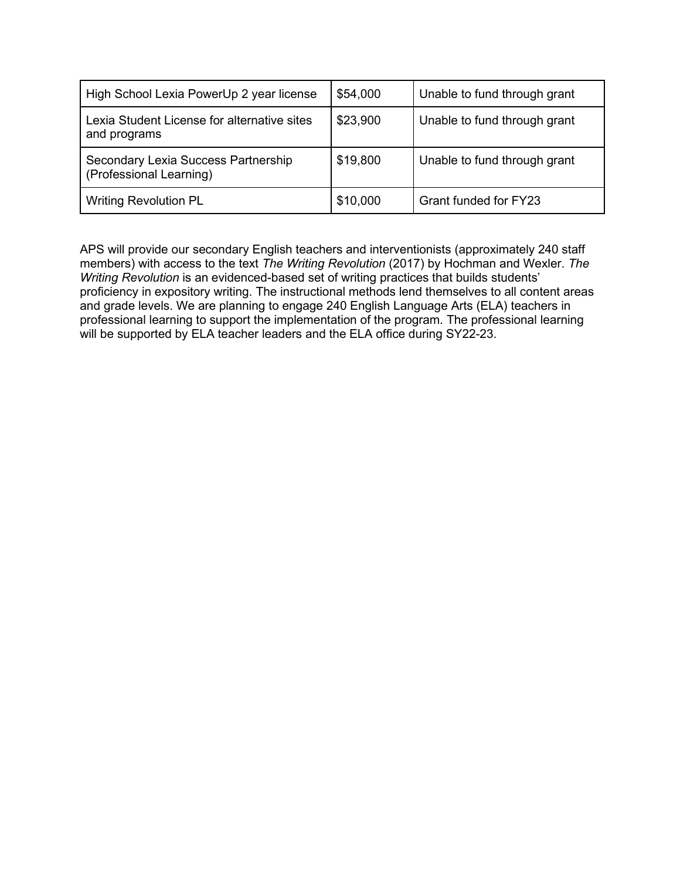| High School Lexia PowerUp 2 year license                       | \$54,000 | Unable to fund through grant |
|----------------------------------------------------------------|----------|------------------------------|
| Lexia Student License for alternative sites<br>and programs    | \$23,900 | Unable to fund through grant |
| Secondary Lexia Success Partnership<br>(Professional Learning) | \$19,800 | Unable to fund through grant |
| <b>Writing Revolution PL</b>                                   | \$10,000 | <b>Grant funded for FY23</b> |

APS will provide our secondary English teachers and interventionists (approximately 240 staff members) with access to the text *The Writing Revolution* (2017) by Hochman and Wexler. *The Writing Revolution* is an evidenced-based set of writing practices that builds students' proficiency in expository writing. The instructional methods lend themselves to all content areas and grade levels. We are planning to engage 240 English Language Arts (ELA) teachers in professional learning to support the implementation of the program. The professional learning will be supported by ELA teacher leaders and the ELA office during SY22-23.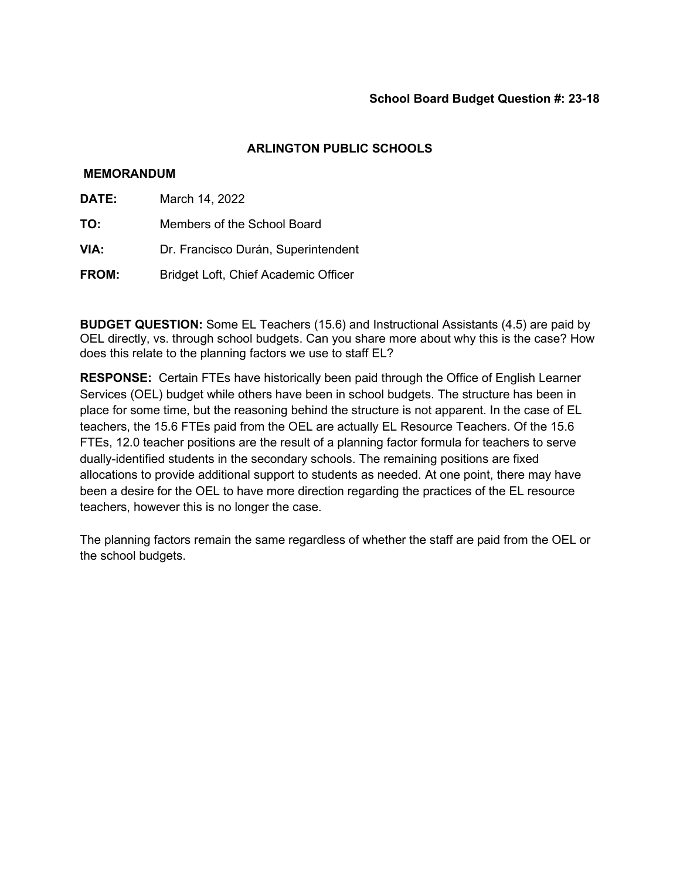# **MEMORANDUM**

- **DATE:** March 14, 2022
- **TO:** Members of the School Board
- **VIA:** Dr. Francisco Durán, Superintendent
- **FROM:** Bridget Loft, Chief Academic Officer

**BUDGET QUESTION:** Some EL Teachers (15.6) and Instructional Assistants (4.5) are paid by OEL directly, vs. through school budgets. Can you share more about why this is the case? How does this relate to the planning factors we use to staff EL?

**RESPONSE:** Certain FTEs have historically been paid through the Office of English Learner Services (OEL) budget while others have been in school budgets. The structure has been in place for some time, but the reasoning behind the structure is not apparent. In the case of EL teachers, the 15.6 FTEs paid from the OEL are actually EL Resource Teachers. Of the 15.6 FTEs, 12.0 teacher positions are the result of a planning factor formula for teachers to serve dually-identified students in the secondary schools. The remaining positions are fixed allocations to provide additional support to students as needed. At one point, there may have been a desire for the OEL to have more direction regarding the practices of the EL resource teachers, however this is no longer the case.

The planning factors remain the same regardless of whether the staff are paid from the OEL or the school budgets.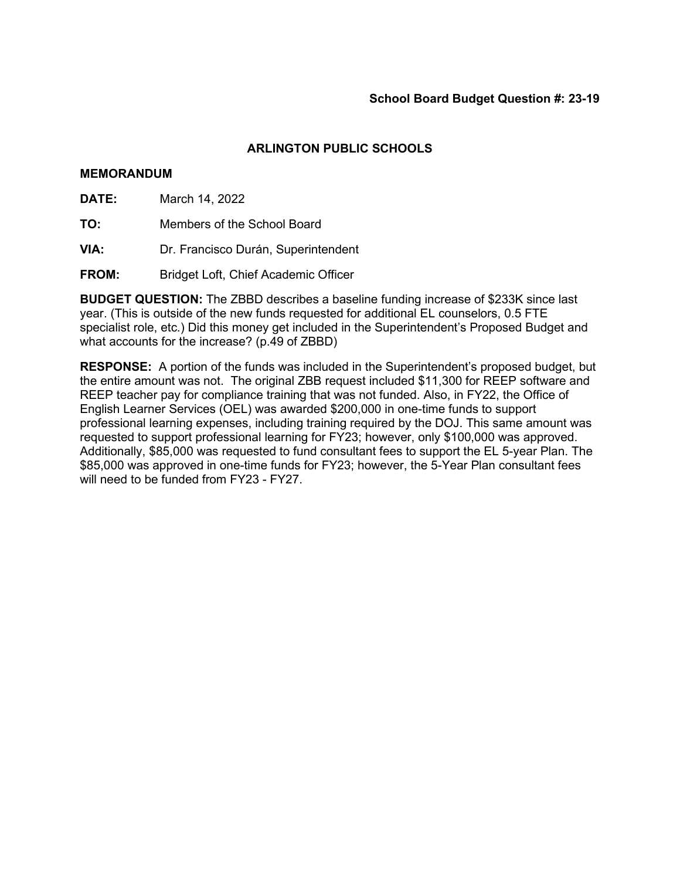# **MEMORANDUM**

**DATE:** March 14, 2022

**TO:** Members of the School Board

**VIA:** Dr. Francisco Durán, Superintendent

**FROM:** Bridget Loft, Chief Academic Officer

**BUDGET QUESTION:** The ZBBD describes a baseline funding increase of \$233K since last year. (This is outside of the new funds requested for additional EL counselors, 0.5 FTE specialist role, etc.) Did this money get included in the Superintendent's Proposed Budget and what accounts for the increase? (p.49 of ZBBD)

**RESPONSE:** A portion of the funds was included in the Superintendent's proposed budget, but the entire amount was not. The original ZBB request included \$11,300 for REEP software and REEP teacher pay for compliance training that was not funded. Also, in FY22, the Office of English Learner Services (OEL) was awarded \$200,000 in one-time funds to support professional learning expenses, including training required by the DOJ. This same amount was requested to support professional learning for FY23; however, only \$100,000 was approved. Additionally, \$85,000 was requested to fund consultant fees to support the EL 5-year Plan. The \$85,000 was approved in one-time funds for FY23; however, the 5-Year Plan consultant fees will need to be funded from FY23 - FY27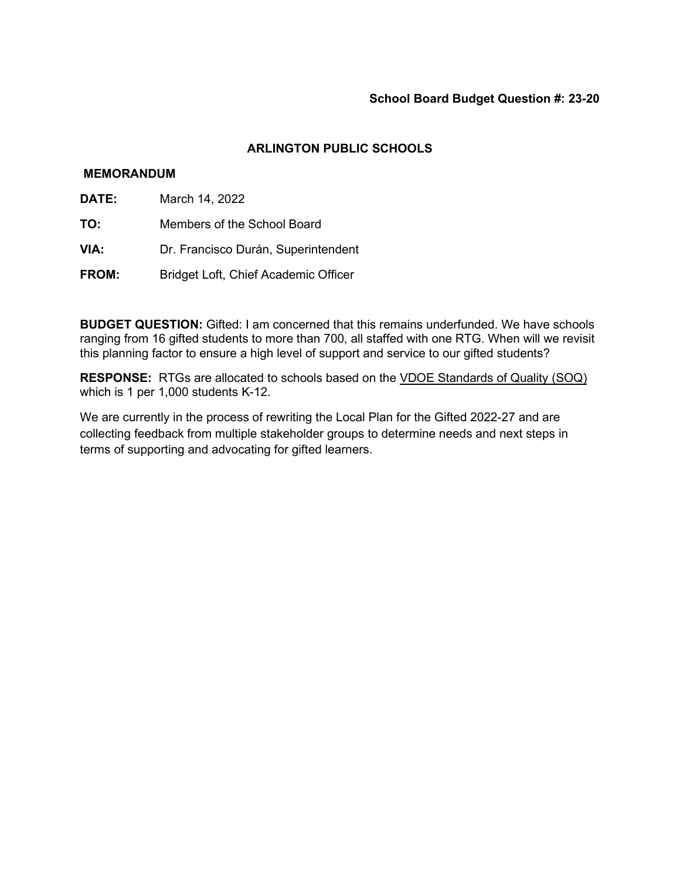# **MEMORANDUM**

- **DATE:** March 14, 2022
- **TO:** Members of the School Board
- **VIA:** Dr. Francisco Durán, Superintendent
- **FROM:** Bridget Loft, Chief Academic Officer

**BUDGET QUESTION:** Gifted: I am concerned that this remains underfunded. We have schools ranging from 16 gifted students to more than 700, all staffed with one RTG. When will we revisit this planning factor to ensure a high level of support and service to our gifted students?

**RESPONSE:** RTGs are allocated to schools based on th[e](https://law.lis.virginia.gov/vacode/title22.1/chapter13.2/section22.1-253.13:2/) [VDOE Standards of Quality \(SOQ\)](https://law.lis.virginia.gov/vacode/title22.1/chapter13.2/section22.1-253.13:2/) which is 1 per 1,000 students K-12.

We are currently in the process of rewriting the Local Plan for the Gifted 2022-27 and are collecting feedback from multiple stakeholder groups to determine needs and next steps in terms of supporting and advocating for gifted learners.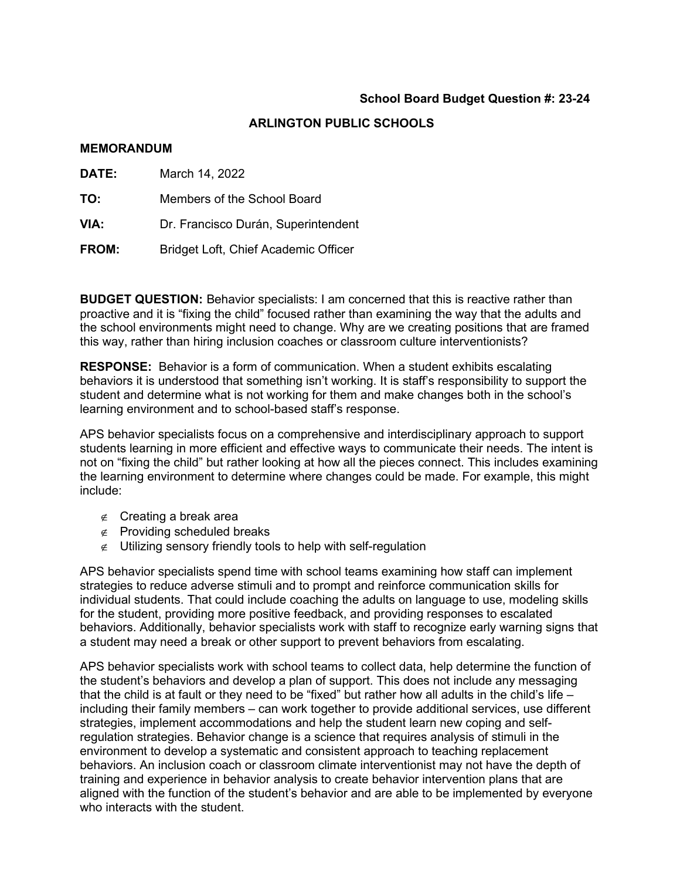# **ARLINGTON PUBLIC SCHOOLS**

#### **MEMORANDUM**

| DATE:        | March 14, 2022                       |  |
|--------------|--------------------------------------|--|
| TO:          | Members of the School Board          |  |
| VIA:         | Dr. Francisco Durán, Superintendent  |  |
| <b>FROM:</b> | Bridget Loft, Chief Academic Officer |  |

**BUDGET QUESTION:** Behavior specialists: I am concerned that this is reactive rather than proactive and it is "fixing the child" focused rather than examining the way that the adults and the school environments might need to change. Why are we creating positions that are framed this way, rather than hiring inclusion coaches or classroom culture interventionists?

**RESPONSE:** Behavior is a form of communication. When a student exhibits escalating behaviors it is understood that something isn't working. It is staff's responsibility to support the student and determine what is not working for them and make changes both in the school's learning environment and to school-based staff's response.

APS behavior specialists focus on a comprehensive and interdisciplinary approach to support students learning in more efficient and effective ways to communicate their needs. The intent is not on "fixing the child" but rather looking at how all the pieces connect. This includes examining the learning environment to determine where changes could be made. For example, this might include:

- ∉ Creating a break area
- ∉ Providing scheduled breaks
- $\epsilon$  Utilizing sensory friendly tools to help with self-regulation

APS behavior specialists spend time with school teams examining how staff can implement strategies to reduce adverse stimuli and to prompt and reinforce communication skills for individual students. That could include coaching the adults on language to use, modeling skills for the student, providing more positive feedback, and providing responses to escalated behaviors. Additionally, behavior specialists work with staff to recognize early warning signs that a student may need a break or other support to prevent behaviors from escalating.

APS behavior specialists work with school teams to collect data, help determine the function of the student's behaviors and develop a plan of support. This does not include any messaging that the child is at fault or they need to be "fixed" but rather how all adults in the child's life – including their family members – can work together to provide additional services, use different strategies, implement accommodations and help the student learn new coping and selfregulation strategies. Behavior change is a science that requires analysis of stimuli in the environment to develop a systematic and consistent approach to teaching replacement behaviors. An inclusion coach or classroom climate interventionist may not have the depth of training and experience in behavior analysis to create behavior intervention plans that are aligned with the function of the student's behavior and are able to be implemented by everyone who interacts with the student.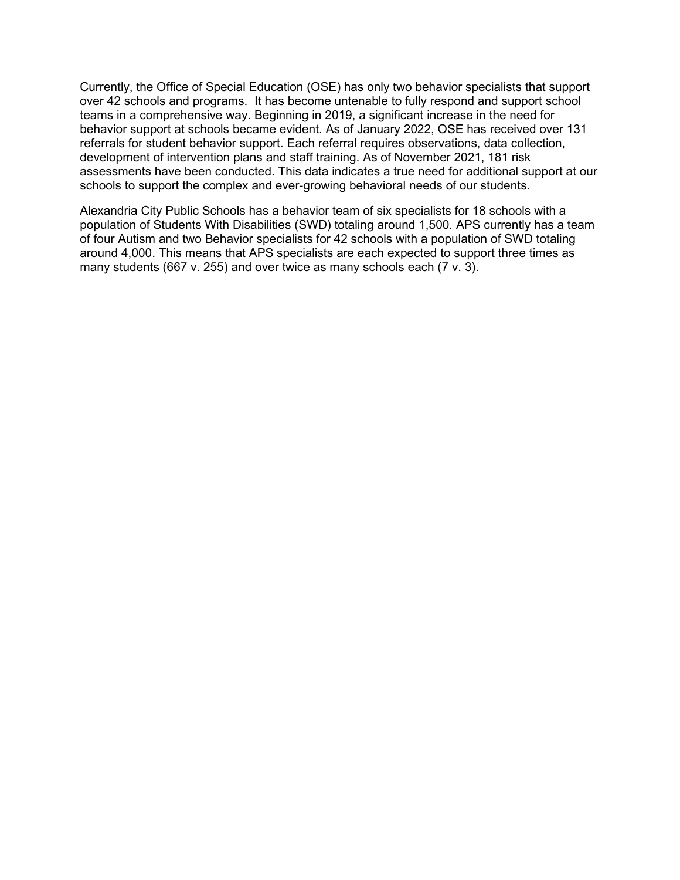Currently, the Office of Special Education (OSE) has only two behavior specialists that support over 42 schools and programs. It has become untenable to fully respond and support school teams in a comprehensive way. Beginning in 2019, a significant increase in the need for behavior support at schools became evident. As of January 2022, OSE has received over 131 referrals for student behavior support. Each referral requires observations, data collection, development of intervention plans and staff training. As of November 2021, 181 risk assessments have been conducted. This data indicates a true need for additional support at our schools to support the complex and ever-growing behavioral needs of our students.

Alexandria City Public Schools has a behavior team of six specialists for 18 schools with a population of Students With Disabilities (SWD) totaling around 1,500. APS currently has a team of four Autism and two Behavior specialists for 42 schools with a population of SWD totaling around 4,000. This means that APS specialists are each expected to support three times as many students (667 v. 255) and over twice as many schools each (7 v. 3).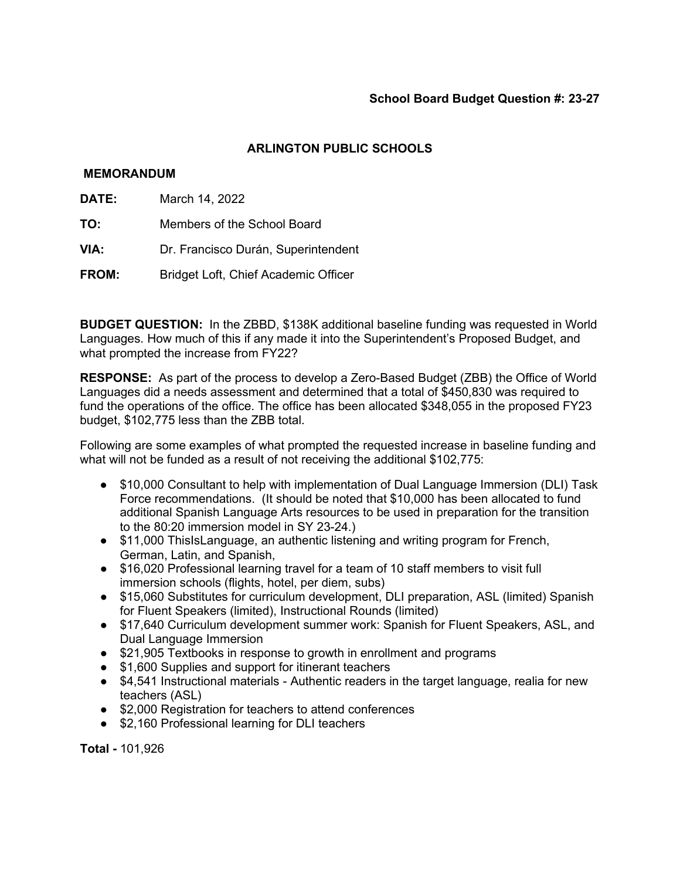### **MEMORANDUM**

- **DATE:** March 14, 2022
- **TO:** Members of the School Board
- **VIA:** Dr. Francisco Durán, Superintendent
- **FROM:** Bridget Loft, Chief Academic Officer

**BUDGET QUESTION:** In the ZBBD, \$138K additional baseline funding was requested in World Languages. How much of this if any made it into the Superintendent's Proposed Budget, and what prompted the increase from FY22?

**RESPONSE:** As part of the process to develop a Zero-Based Budget (ZBB) the Office of World Languages did a needs assessment and determined that a total of \$450,830 was required to fund the operations of the office. The office has been allocated \$348,055 in the proposed FY23 budget, \$102,775 less than the ZBB total.

Following are some examples of what prompted the requested increase in baseline funding and what will not be funded as a result of not receiving the additional \$102,775:

- \$10,000 Consultant to help with implementation of Dual Language Immersion (DLI) Task Force recommendations. (It should be noted that \$10,000 has been allocated to fund additional Spanish Language Arts resources to be used in preparation for the transition to the 80:20 immersion model in SY 23-24.)
- \$11,000 ThisIsLanguage, an authentic listening and writing program for French, German, Latin, and Spanish,
- \$16,020 Professional learning travel for a team of 10 staff members to visit full immersion schools (flights, hotel, per diem, subs)
- \$15,060 Substitutes for curriculum development, DLI preparation, ASL (limited) Spanish for Fluent Speakers (limited), Instructional Rounds (limited)
- \$17,640 Curriculum development summer work: Spanish for Fluent Speakers, ASL, and Dual Language Immersion
- \$21,905 Textbooks in response to growth in enrollment and programs
- \$1,600 Supplies and support for itinerant teachers
- \$4,541 Instructional materials Authentic readers in the target language, realia for new teachers (ASL)
- \$2,000 Registration for teachers to attend conferences
- \$2,160 Professional learning for DLI teachers

**Total -** 101,926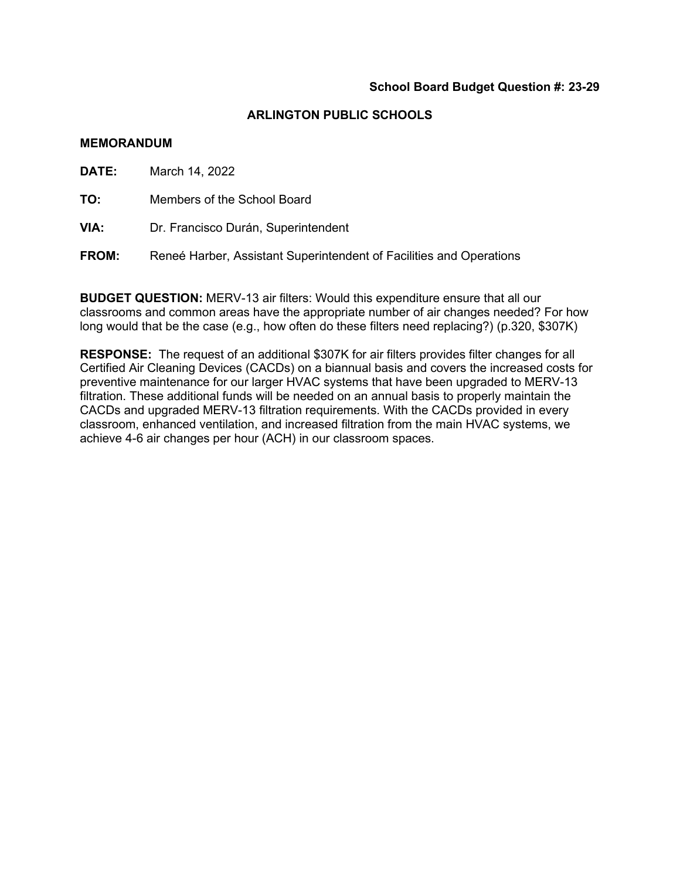#### **MEMORANDUM**

**DATE:** March 14, 2022

**TO:** Members of the School Board

**VIA:** Dr. Francisco Durán, Superintendent

**FROM:** Reneé Harber, Assistant Superintendent of Facilities and Operations

**BUDGET QUESTION:** MERV-13 air filters: Would this expenditure ensure that all our classrooms and common areas have the appropriate number of air changes needed? For how long would that be the case (e.g., how often do these filters need replacing?) (p.320, \$307K)

**RESPONSE:** The request of an additional \$307K for air filters provides filter changes for all Certified Air Cleaning Devices (CACDs) on a biannual basis and covers the increased costs for preventive maintenance for our larger HVAC systems that have been upgraded to MERV-13 filtration. These additional funds will be needed on an annual basis to properly maintain the CACDs and upgraded MERV-13 filtration requirements. With the CACDs provided in every classroom, enhanced ventilation, and increased filtration from the main HVAC systems, we achieve 4-6 air changes per hour (ACH) in our classroom spaces.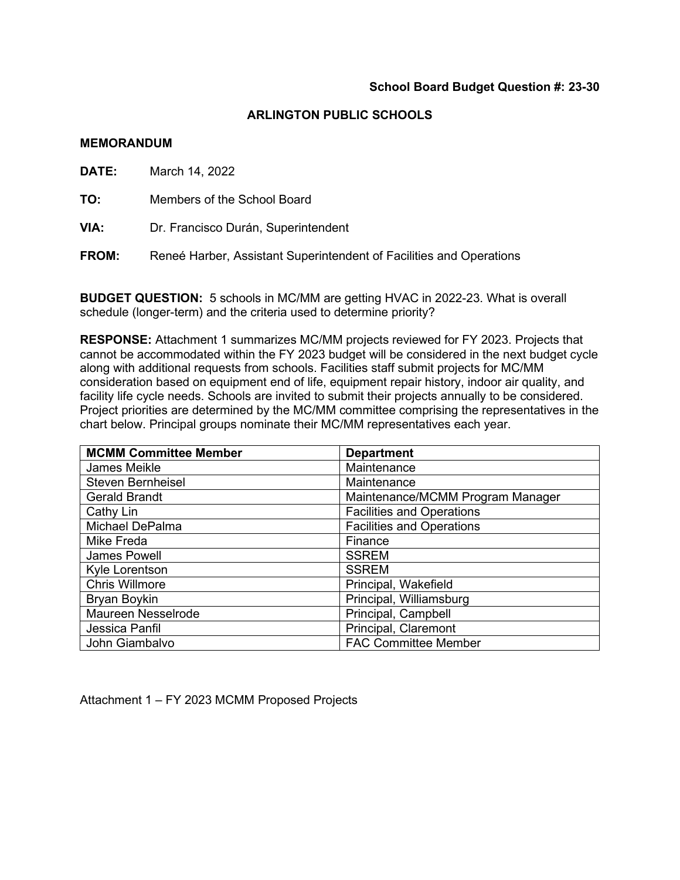#### **MEMORANDUM**

**DATE:** March 14, 2022

**TO:** Members of the School Board

**VIA:** Dr. Francisco Durán, Superintendent

**FROM:** Reneé Harber, Assistant Superintendent of Facilities and Operations

**BUDGET QUESTION:** 5 schools in MC/MM are getting HVAC in 2022-23. What is overall schedule (longer-term) and the criteria used to determine priority?

**RESPONSE:** Attachment 1 summarizes MC/MM projects reviewed for FY 2023. Projects that cannot be accommodated within the FY 2023 budget will be considered in the next budget cycle along with additional requests from schools. Facilities staff submit projects for MC/MM consideration based on equipment end of life, equipment repair history, indoor air quality, and facility life cycle needs. Schools are invited to submit their projects annually to be considered. Project priorities are determined by the MC/MM committee comprising the representatives in the chart below. Principal groups nominate their MC/MM representatives each year.

| <b>MCMM Committee Member</b> | <b>Department</b>                |
|------------------------------|----------------------------------|
| James Meikle                 | Maintenance                      |
| <b>Steven Bernheisel</b>     | Maintenance                      |
| <b>Gerald Brandt</b>         | Maintenance/MCMM Program Manager |
| Cathy Lin                    | <b>Facilities and Operations</b> |
| Michael DePalma              | <b>Facilities and Operations</b> |
| Mike Freda                   | Finance                          |
| <b>James Powell</b>          | <b>SSREM</b>                     |
| Kyle Lorentson               | <b>SSREM</b>                     |
| <b>Chris Willmore</b>        | Principal, Wakefield             |
| Bryan Boykin                 | Principal, Williamsburg          |
| Maureen Nesselrode           | Principal, Campbell              |
| Jessica Panfil               | Principal, Claremont             |
| John Giambalvo               | <b>FAC Committee Member</b>      |

Attachment 1 – FY 2023 MCMM Proposed Projects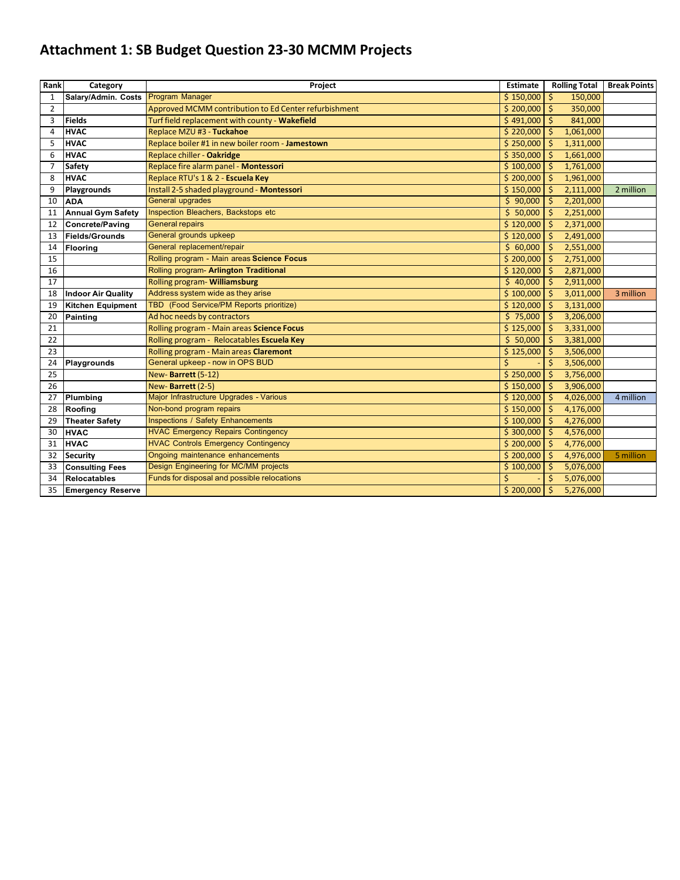# **Attachment 1: SB Budget Question 23-30 MCMM Projects**

| Rank           | Category                  | Project                                               | <b>Estimate</b> | <b>Rolling Total</b> | <b>Break Points</b> |
|----------------|---------------------------|-------------------------------------------------------|-----------------|----------------------|---------------------|
| 1              | Salary/Admin. Costs       | Program Manager                                       | \$150,000       | \$<br>150,000        |                     |
| $\overline{2}$ |                           | Approved MCMM contribution to Ed Center refurbishment | \$200,000       | $\zeta$<br>350,000   |                     |
| 3              | <b>Fields</b>             | Turf field replacement with county - Wakefield        | \$491,000       | Ŝ.<br>841,000        |                     |
| 4              | <b>HVAC</b>               | Replace MZU #3 - Tuckahoe                             | \$220,000       | Ŝ.<br>1,061,000      |                     |
| 5              | <b>HVAC</b>               | Replace boiler #1 in new boiler room - Jamestown      | \$250,000       | 1,311,000<br>Ŝ       |                     |
| 6              | <b>HVAC</b>               | Replace chiller - Oakridge                            | \$350,000       | 1,661,000<br>Ŝ       |                     |
| $\overline{7}$ | Safety                    | Replace fire alarm panel - Montessori                 | \$100,000       | 1,761,000<br>Ŝ.      |                     |
| 8              | <b>HVAC</b>               | Replace RTU's 1 & 2 - Escuela Key                     | \$200,000       | Ŝ.<br>1,961,000      |                     |
| 9              | Playgrounds               | Install 2-5 shaded playground - Montessori            | \$150,000       | 2,111,000<br>\$      | 2 million           |
| 10             | <b>ADA</b>                | <b>General upgrades</b>                               | \$90,000        | 2,201,000<br>Ŝ.      |                     |
| 11             | <b>Annual Gym Safety</b>  | Inspection Bleachers, Backstops etc                   | \$50,000        | 2,251,000<br>Ŝ.      |                     |
| 12             | <b>Concrete/Paving</b>    | <b>General repairs</b>                                | \$120,000       | 2,371,000<br>Š.      |                     |
| 13             | <b>Fields/Grounds</b>     | General grounds upkeep                                | \$120,000       | Š.<br>2,491,000      |                     |
| 14             | <b>Flooring</b>           | General replacement/repair                            | \$60,000        | 2,551,000            |                     |
| 15             |                           | Rolling program - Main areas Science Focus            | \$200,000       | 2,751,000            |                     |
| 16             |                           | Rolling program- Arlington Traditional                | \$120,000       | 2,871,000            |                     |
| 17             |                           | <b>Rolling program- Williamsburg</b>                  | \$40,000        | 2,911,000<br>Ś       |                     |
| 18             | <b>Indoor Air Quality</b> | Address system wide as they arise                     | \$100,000       | Ŝ.<br>3,011,000      | 3 million           |
| 19             | <b>Kitchen Equipment</b>  | TBD (Food Service/PM Reports prioritize)              | \$120,000       | 3,131,000<br>Ŝ       |                     |
| 20             | Painting                  | Ad hoc needs by contractors                           | \$75,000        | 3,206,000<br>Ŝ       |                     |
| 21             |                           | Rolling program - Main areas Science Focus            | \$125,000       | 3,331,000<br>Ŝ.      |                     |
| 22             |                           | Rolling program - Relocatables Escuela Key            | \$50,000        | Ŝ.<br>3,381,000      |                     |
| 23             |                           | Rolling program - Main areas Claremont                | \$125,000       | 3,506,000<br>Ŝ.      |                     |
| 24             | Playgrounds               | General upkeep - now in OPS BUD                       | Ś               | \$<br>3,506,000      |                     |
| 25             |                           | New-Barrett (5-12)                                    | \$250,000       | Ŝ.<br>3,756,000      |                     |
| 26             |                           | New-Barrett (2-5)                                     | \$150,000       | Ŝ.<br>3,906,000      |                     |
| 27             | Plumbing                  | Major Infrastructure Upgrades - Various               | \$120,000       | 4,026,000<br>\$      | 4 million           |
| 28             | Roofing                   | Non-bond program repairs                              | \$150,000       | Ŝ.<br>4,176,000      |                     |
| 29             | <b>Theater Safety</b>     | <b>Inspections / Safety Enhancements</b>              | \$100,000       | \$<br>4,276,000      |                     |
| 30             | <b>HVAC</b>               | <b>HVAC Emergency Repairs Contingency</b>             | \$300,000       | 4,576,000<br>\$      |                     |
| 31             | <b>HVAC</b>               | <b>HVAC Controls Emergency Contingency</b>            | \$200,000       | 4,776,000<br>Ŝ.      |                     |
| 32             | <b>Security</b>           | Ongoing maintenance enhancements                      | \$200,000       | Ŝ.<br>4,976,000      | 5 million           |
| 33             | <b>Consulting Fees</b>    | Design Engineering for MC/MM projects                 | \$100,000       | 5,076,000<br>Š.      |                     |
| 34             | <b>Relocatables</b>       | Funds for disposal and possible relocations           | Ś               | 5,076,000<br>Š.      |                     |
| 35             | <b>Emergency Reserve</b>  |                                                       | \$200,000       | \$<br>5,276,000      |                     |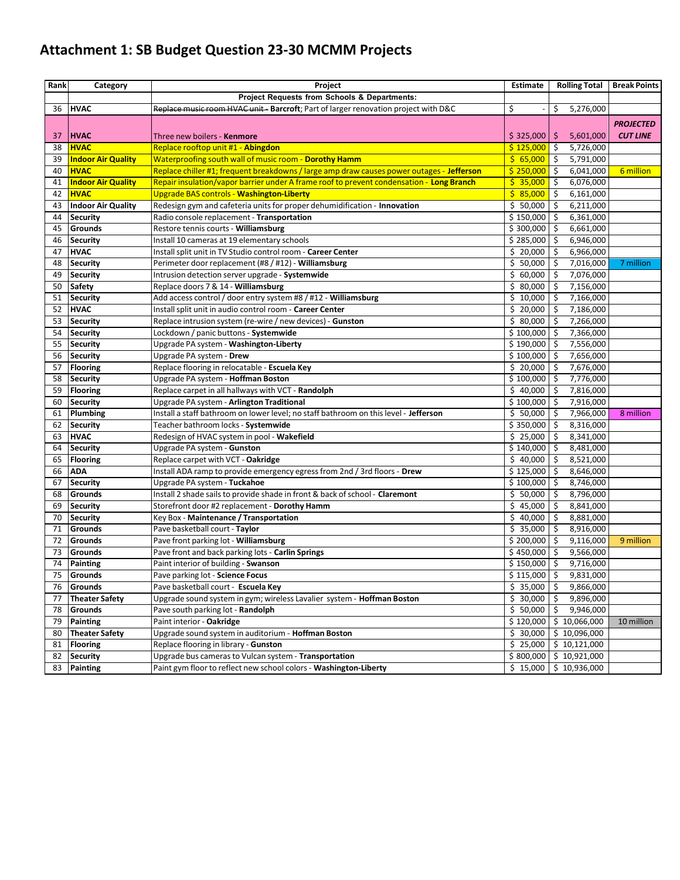# **Attachment 1: SB Budget Question 23-30 MCMM Projects**

| Rank | Category                           | Project                                                                                   | <b>Estimate</b>        | <b>Rolling Total</b>         | <b>Break Points</b> |
|------|------------------------------------|-------------------------------------------------------------------------------------------|------------------------|------------------------------|---------------------|
|      |                                    | Project Requests from Schools & Departments:                                              |                        |                              |                     |
| 36   | <b>HVAC</b>                        | Replace music room HVAC unit - Barcroft; Part of larger renovation project with D&C       | \$                     | \$<br>5,276,000              |                     |
|      |                                    |                                                                                           |                        |                              | <b>PROJECTED</b>    |
| 37   | <b>HVAC</b>                        | Three new boilers - Kenmore                                                               | \$325,000              | 5,601,000<br>\$.             | <b>CUT LINE</b>     |
| 38   | <b>HVAC</b>                        | Replace rooftop unit #1 - Abingdon                                                        | \$125,000              | \$<br>5,726,000              |                     |
| 39   | <b>Indoor Air Quality</b>          | Waterproofing south wall of music room - Dorothy Hamm                                     | \$65,000               | \$<br>5,791,000              |                     |
| 40   | <b>HVAC</b>                        | Replace chiller #1; frequent breakdowns / large amp draw causes power outages - Jefferson | \$250,000              | \$<br>6,041,000              | 6 million           |
| 41   | <b>Indoor Air Quality</b>          | Repair insulation/vapor barrier under A frame roof to prevent condensation - Long Branch  | \$35,000               | \$<br>6,076,000              |                     |
| 42   | <b>HVAC</b>                        | Upgrade BAS controls - Washington-Liberty                                                 | \$85,000               | \$<br>6,161,000              |                     |
| 43   | <b>Indoor Air Quality</b>          | Redesign gym and cafeteria units for proper dehumidification - Innovation                 | \$50,000               | S.<br>6,211,000              |                     |
| 44   | Security                           | Radio console replacement - Transportation                                                | \$150,000              | \$<br>6,361,000              |                     |
| 45   | Grounds                            | Restore tennis courts - Williamsburg                                                      | \$300,000              | \$<br>6,661,000              |                     |
| 46   | <b>Security</b>                    | Install 10 cameras at 19 elementary schools                                               | \$285,000              | \$<br>6,946,000              |                     |
| 47   | <b>HVAC</b>                        | Install split unit in TV Studio control room - Career Center                              | \$20,000               | \$<br>6,966,000              |                     |
| 48   | <b>Security</b>                    | Perimeter door replacement (#8 / #12) - Williamsburg                                      | $\frac{1}{5}$ 50,000   | Ś.<br>7,016,000              | 7 million           |
| 49   | <b>Security</b>                    | Intrusion detection server upgrade - Systemwide                                           | \$60,000               | \$<br>7,076,000              |                     |
| 50   | <b>Safety</b>                      | Replace doors 7 & 14 - Williamsburg                                                       | \$80,000               | \$<br>7,156,000              |                     |
| 51   | <b>Security</b>                    | Add access control / door entry system #8 / #12 - Williamsburg                            | \$10,000               | \$<br>7,166,000              |                     |
| 52   | <b>HVAC</b>                        | Install split unit in audio control room - Career Center                                  | \$20,000               | \$<br>7,186,000              |                     |
| 53   |                                    | Replace intrusion system (re-wire / new devices) - Gunston                                | \$80,000               | \$<br>7,266,000              |                     |
| 54   | <b>Security</b><br><b>Security</b> | Lockdown / panic buttons - Systemwide                                                     | $$100,000$ $$$         | 7,366,000                    |                     |
|      |                                    | Upgrade PA system - Washington-Liberty                                                    |                        | \$<br>7,556,000              |                     |
| 55   | <b>Security</b>                    |                                                                                           | \$190,000<br>\$100,000 | \$<br>7,656,000              |                     |
| 56   | <b>Security</b>                    | Upgrade PA system - Drew                                                                  |                        |                              |                     |
| 57   | <b>Flooring</b>                    | Replace flooring in relocatable - Escuela Key<br>Upgrade PA system - Hoffman Boston       | \$20,000               | \$<br>7,676,000<br>7,776,000 |                     |
| 58   | <b>Security</b>                    |                                                                                           | \$100,000              | l \$                         |                     |
| 59   | <b>Flooring</b>                    | Replace carpet in all hallways with VCT - Randolph                                        | \$40,000               | \$<br>7,816,000              |                     |
| 60   | <b>Security</b>                    | Upgrade PA system - Arlington Traditional                                                 | \$100,000              | \$<br>7,916,000              |                     |
| 61   | Plumbing                           | Install a staff bathroom on lower level; no staff bathroom on this level - Jefferson      | \$50,000               | \$<br>7,966,000              | 8 million           |
| 62   | <b>Security</b>                    | Teacher bathroom locks - Systemwide                                                       | \$350,000              | \$<br>8,316,000              |                     |
| 63   | <b>HVAC</b>                        | Redesign of HVAC system in pool - Wakefield                                               | \$25,000               | \$<br>8,341,000              |                     |
| 64   | <b>Security</b>                    | Upgrade PA system - Gunston                                                               | \$140,000              | \$<br>8,481,000              |                     |
| 65   | <b>Flooring</b>                    | Replace carpet with VCT - Oakridge                                                        | \$40,000               | \$<br>8,521,000              |                     |
| 66   | <b>ADA</b>                         | Install ADA ramp to provide emergency egress from 2nd / 3rd floors - Drew                 | \$125,000              | \$<br>8,646,000              |                     |
| 67   | <b>Security</b>                    | Upgrade PA system - <b>Tuckahoe</b>                                                       | \$100,000              | \$<br>8,746,000              |                     |
| 68   | Grounds                            | Install 2 shade sails to provide shade in front & back of school - Claremont              | \$50,000               | \$<br>8,796,000              |                     |
| 69   | <b>Security</b>                    | Storefront door #2 replacement - Dorothy Hamm                                             | \$45,000               | \$<br>8,841,000              |                     |
| 70   | <b>Security</b>                    | Key Box - Maintenance / Transportation                                                    | \$40,000               | \$<br>8,881,000              |                     |
| 71   | Grounds                            | Pave basketball court - Taylor                                                            | \$35,000               | Ŝ.<br>8,916,000              |                     |
| 72   | Grounds                            | Pave front parking lot - Williamsburg                                                     | \$200,000              | \$<br>9,116,000              | 9 million           |
| 73   | Grounds                            | Pave front and back parking lots - Carlin Springs                                         | $$450,000$ $$$         | 9,566,000                    |                     |
| 74   | <b>Painting</b>                    | Paint interior of building - Swanson                                                      | $$150,000$ $$$         | 9,716,000                    |                     |
| 75   | <b>Grounds</b>                     | Pave parking lot - Science Focus                                                          | $$115,000$ \$          | 9,831,000                    |                     |
| 76   | Grounds                            | Pave basketball court - Escuela Key                                                       | $\frac{1}{5}$ 35,000   | $\frac{1}{2}$<br>9,866,000   |                     |
| 77   | <b>Theater Safety</b>              | Upgrade sound system in gym; wireless Lavalier system - <b>Hoffman Boston</b>             | \$30,000               | \$<br>9,896,000              |                     |
| 78   | Grounds                            | Pave south parking lot - Randolph                                                         | \$50,000               | \$<br>9,946,000              |                     |
| 79   | Painting                           | Paint interior - Oakridge                                                                 | \$120,000              | \$10,066,000                 | 10 million          |
| 80   | <b>Theater Safety</b>              | Upgrade sound system in auditorium - Hoffman Boston                                       | \$30,000               | \$10,096,000                 |                     |
| 81   | Flooring                           | Replace flooring in library - Gunston                                                     | \$25,000               | \$10,121,000                 |                     |
|      | 82 Security                        | Upgrade bus cameras to Vulcan system - Transportation                                     | \$800,000              | \$10,921,000                 |                     |
|      | 83 Painting                        | Paint gym floor to reflect new school colors - Washington-Liberty                         | \$15,000               | \$10,936,000                 |                     |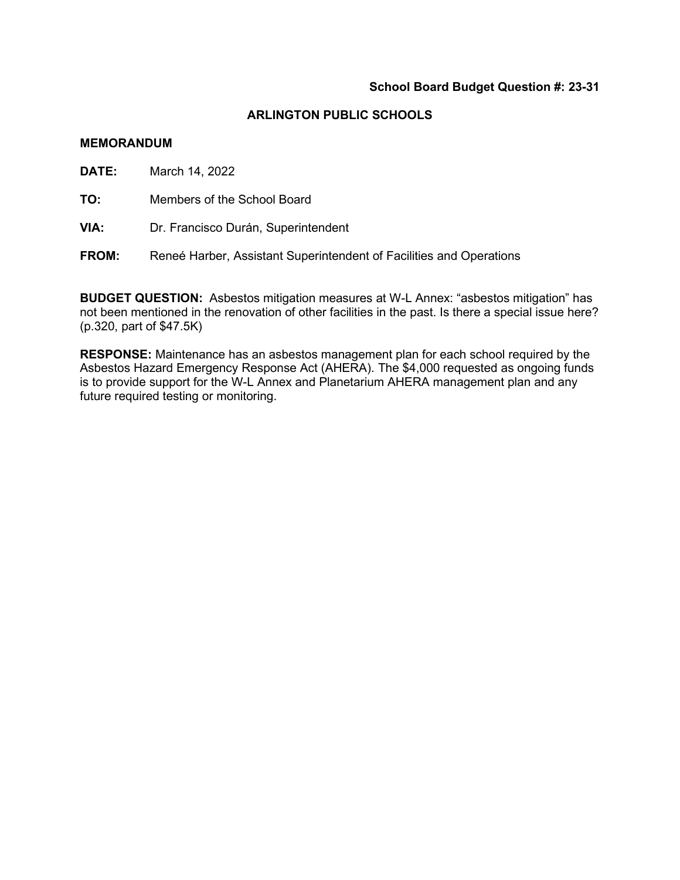#### **ARLINGTON PUBLIC SCHOOLS**

#### **MEMORANDUM**

**DATE:** March 14, 2022

**TO:** Members of the School Board

**VIA:** Dr. Francisco Durán, Superintendent

**FROM:** Reneé Harber, Assistant Superintendent of Facilities and Operations

**BUDGET QUESTION:** Asbestos mitigation measures at W-L Annex: "asbestos mitigation" has not been mentioned in the renovation of other facilities in the past. Is there a special issue here? (p.320, part of \$47.5K)

**RESPONSE:** Maintenance has an asbestos management plan for each school required by the Asbestos Hazard Emergency Response Act (AHERA). The \$4,000 requested as ongoing funds is to provide support for the W-L Annex and Planetarium AHERA management plan and any future required testing or monitoring.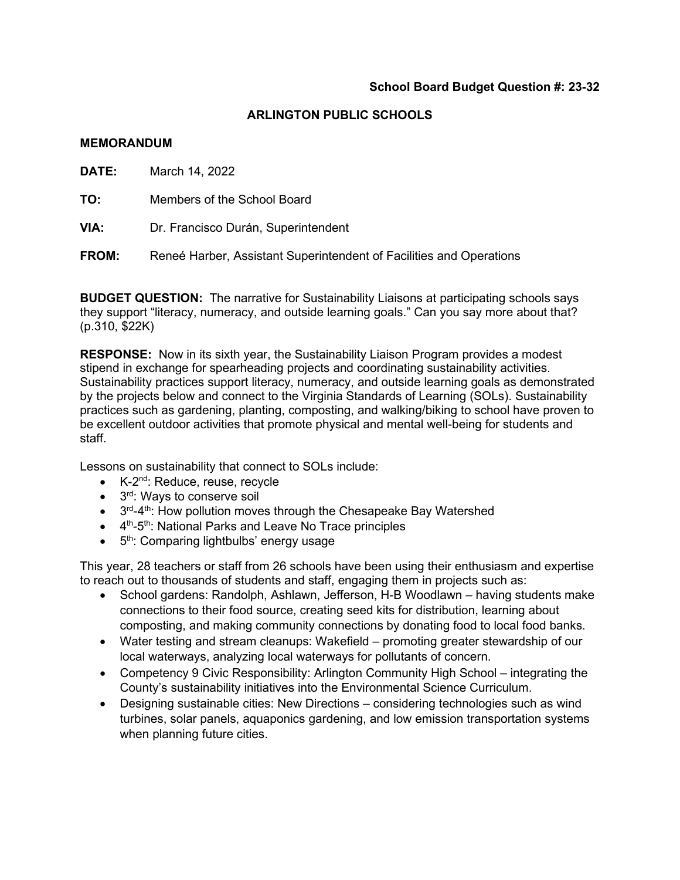#### **MEMORANDUM**

**DATE:** March 14, 2022

**TO:** Members of the School Board

**VIA:** Dr. Francisco Durán, Superintendent

**FROM:** Reneé Harber, Assistant Superintendent of Facilities and Operations

**BUDGET QUESTION:** The narrative for Sustainability Liaisons at participating schools says they support "literacy, numeracy, and outside learning goals." Can you say more about that? (p.310, \$22K)

**RESPONSE:** Now in its sixth year, the Sustainability Liaison Program provides a modest stipend in exchange for spearheading projects and coordinating sustainability activities. Sustainability practices support literacy, numeracy, and outside learning goals as demonstrated by the projects below and connect to the Virginia Standards of Learning (SOLs). Sustainability practices such as gardening, planting, composting, and walking/biking to school have proven to be excellent outdoor activities that promote physical and mental well-being for students and staff.

Lessons on sustainability that connect to SOLs include:

- K-2<sup>nd</sup>: Reduce, reuse, recycle
- 3<sup>rd</sup>: Ways to conserve soil
- $\bullet$  3<sup>rd</sup>-4<sup>th</sup>: How pollution moves through the Chesapeake Bay Watershed
- $\bullet$  4<sup>th</sup>-5<sup>th</sup>: National Parks and Leave No Trace principles
- 5<sup>th</sup>: Comparing lightbulbs' energy usage

This year, 28 teachers or staff from 26 schools have been using their enthusiasm and expertise to reach out to thousands of students and staff, engaging them in projects such as:

- School gardens: Randolph, Ashlawn, Jefferson, H-B Woodlawn having students make connections to their food source, creating seed kits for distribution, learning about composting, and making community connections by donating food to local food banks.
- Water testing and stream cleanups: Wakefield promoting greater stewardship of our local waterways, analyzing local waterways for pollutants of concern.
- Competency 9 Civic Responsibility: Arlington Community High School integrating the County's sustainability initiatives into the Environmental Science Curriculum.
- Designing sustainable cities: New Directions considering technologies such as wind turbines, solar panels, aquaponics gardening, and low emission transportation systems when planning future cities.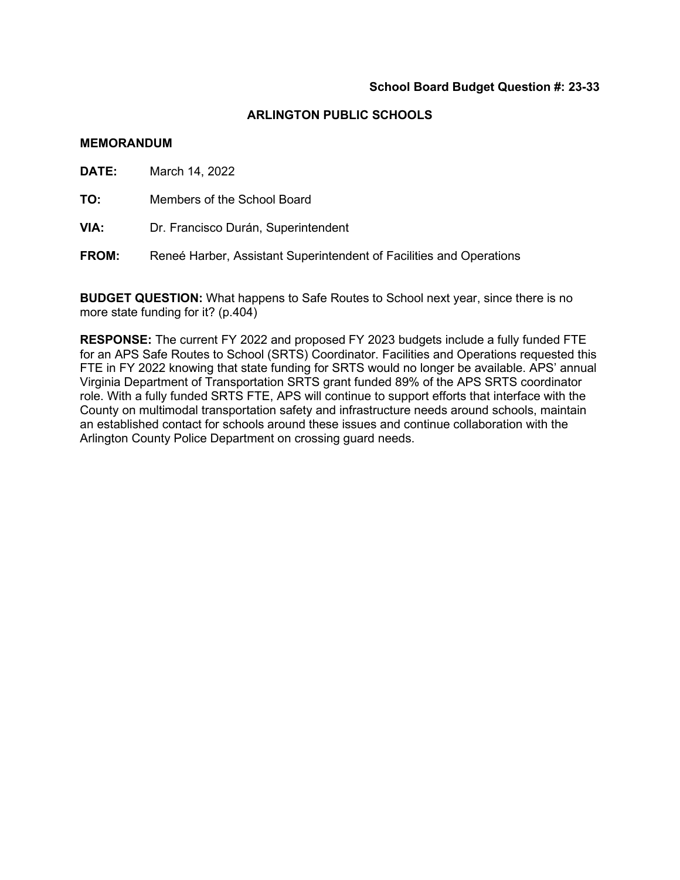#### **MEMORANDUM**

**DATE:** March 14, 2022

**TO:** Members of the School Board

**VIA:** Dr. Francisco Durán, Superintendent

**FROM:** Reneé Harber, Assistant Superintendent of Facilities and Operations

**BUDGET QUESTION:** What happens to Safe Routes to School next year, since there is no more state funding for it? (p.404)

**RESPONSE:** The current FY 2022 and proposed FY 2023 budgets include a fully funded FTE for an APS Safe Routes to School (SRTS) Coordinator. Facilities and Operations requested this FTE in FY 2022 knowing that state funding for SRTS would no longer be available. APS' annual Virginia Department of Transportation SRTS grant funded 89% of the APS SRTS coordinator role. With a fully funded SRTS FTE, APS will continue to support efforts that interface with the County on multimodal transportation safety and infrastructure needs around schools, maintain an established contact for schools around these issues and continue collaboration with the Arlington County Police Department on crossing guard needs.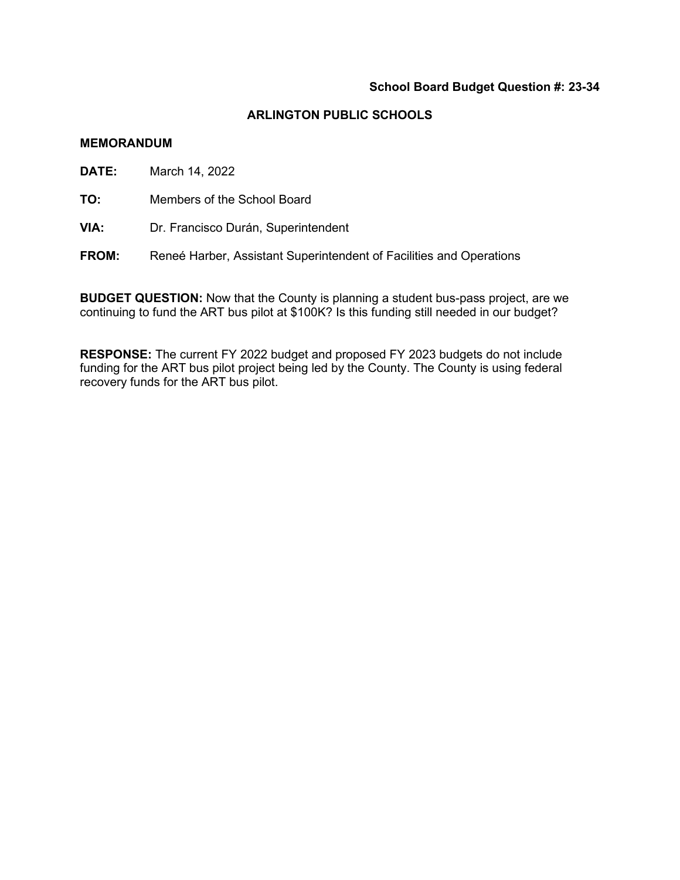#### **ARLINGTON PUBLIC SCHOOLS**

#### **MEMORANDUM**

**DATE:** March 14, 2022

**TO:** Members of the School Board

**VIA:** Dr. Francisco Durán, Superintendent

**FROM:** Reneé Harber, Assistant Superintendent of Facilities and Operations

**BUDGET QUESTION:** Now that the County is planning a student bus-pass project, are we continuing to fund the ART bus pilot at \$100K? Is this funding still needed in our budget?

**RESPONSE:** The current FY 2022 budget and proposed FY 2023 budgets do not include funding for the ART bus pilot project being led by the County. The County is using federal recovery funds for the ART bus pilot.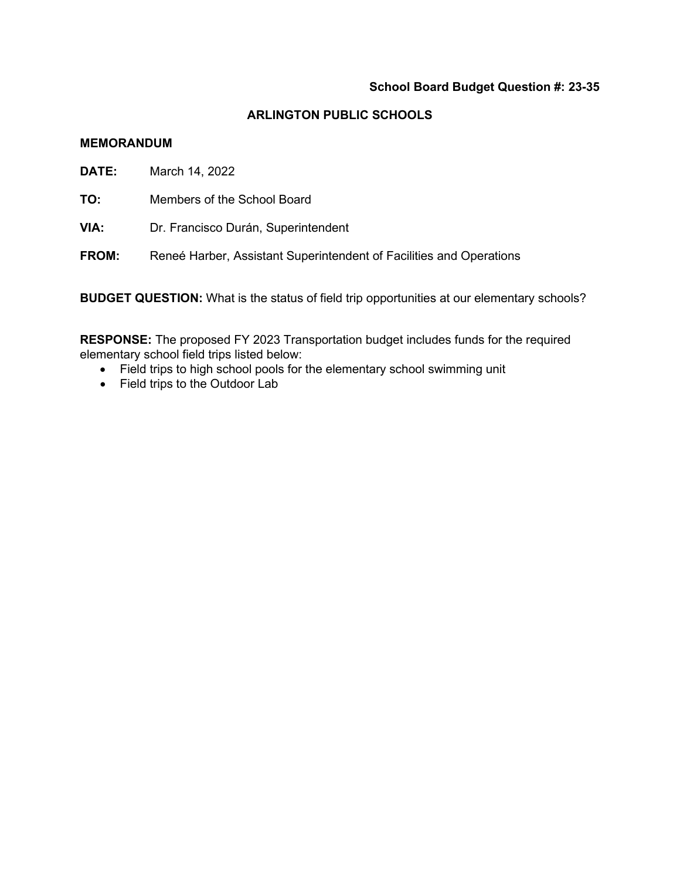#### **ARLINGTON PUBLIC SCHOOLS**

#### **MEMORANDUM**

**DATE:** March 14, 2022

**TO:** Members of the School Board

**VIA:** Dr. Francisco Durán, Superintendent

**FROM:** Reneé Harber, Assistant Superintendent of Facilities and Operations

**BUDGET QUESTION:** What is the status of field trip opportunities at our elementary schools?

**RESPONSE:** The proposed FY 2023 Transportation budget includes funds for the required elementary school field trips listed below:

- Field trips to high school pools for the elementary school swimming unit
- Field trips to the Outdoor Lab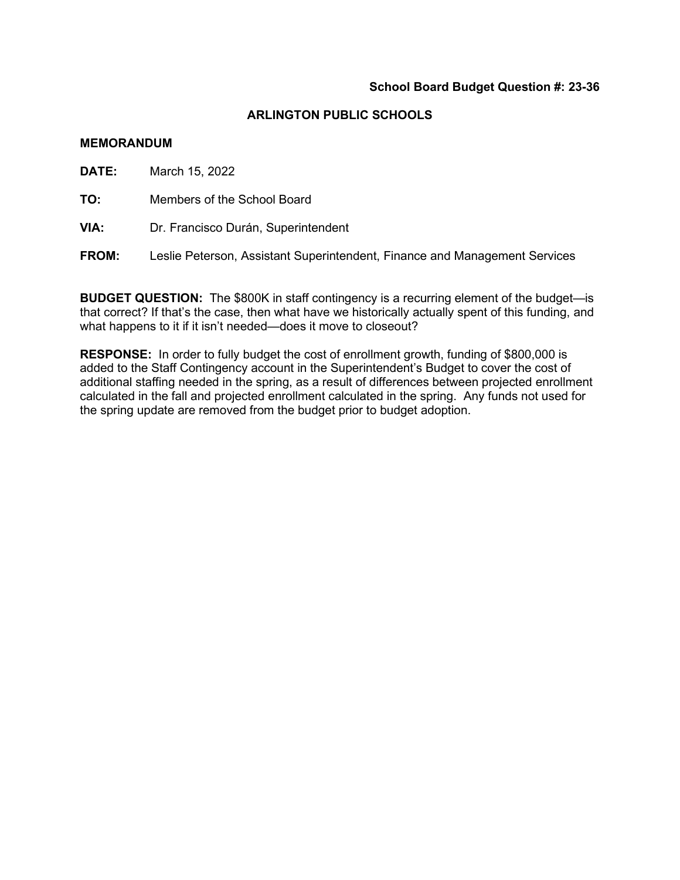#### **MEMORANDUM**

**DATE:** March 15, 2022

**TO:** Members of the School Board

**VIA:** Dr. Francisco Durán, Superintendent

**FROM:** Leslie Peterson, Assistant Superintendent, Finance and Management Services

**BUDGET QUESTION:** The \$800K in staff contingency is a recurring element of the budget—is that correct? If that's the case, then what have we historically actually spent of this funding, and what happens to it if it isn't needed—does it move to closeout?

**RESPONSE:** In order to fully budget the cost of enrollment growth, funding of \$800,000 is added to the Staff Contingency account in the Superintendent's Budget to cover the cost of additional staffing needed in the spring, as a result of differences between projected enrollment calculated in the fall and projected enrollment calculated in the spring. Any funds not used for the spring update are removed from the budget prior to budget adoption.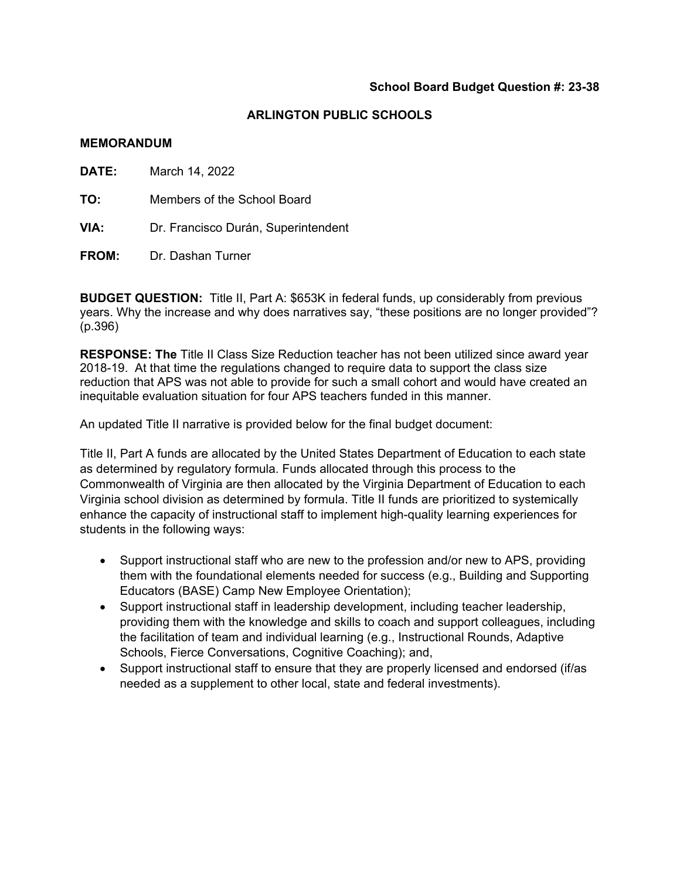#### **MEMORANDUM**

| <b>DATE:</b> | March 14, 2022                      |  |
|--------------|-------------------------------------|--|
| TO:          | Members of the School Board         |  |
| VIA:         | Dr. Francisco Durán, Superintendent |  |
| <b>FROM:</b> | Dr. Dashan Turner                   |  |

**BUDGET QUESTION:** Title II, Part A: \$653K in federal funds, up considerably from previous years. Why the increase and why does narratives say, "these positions are no longer provided"? (p.396)

**RESPONSE: The** Title II Class Size Reduction teacher has not been utilized since award year 2018-19. At that time the regulations changed to require data to support the class size reduction that APS was not able to provide for such a small cohort and would have created an inequitable evaluation situation for four APS teachers funded in this manner.

An updated Title II narrative is provided below for the final budget document:

Title II, Part A funds are allocated by the United States Department of Education to each state as determined by regulatory formula. Funds allocated through this process to the Commonwealth of Virginia are then allocated by the Virginia Department of Education to each Virginia school division as determined by formula. Title II funds are prioritized to systemically enhance the capacity of instructional staff to implement high-quality learning experiences for students in the following ways:

- Support instructional staff who are new to the profession and/or new to APS, providing them with the foundational elements needed for success (e.g., Building and Supporting Educators (BASE) Camp New Employee Orientation);
- Support instructional staff in leadership development, including teacher leadership, providing them with the knowledge and skills to coach and support colleagues, including the facilitation of team and individual learning (e.g., Instructional Rounds, Adaptive Schools, Fierce Conversations, Cognitive Coaching); and,
- Support instructional staff to ensure that they are properly licensed and endorsed (if/as needed as a supplement to other local, state and federal investments).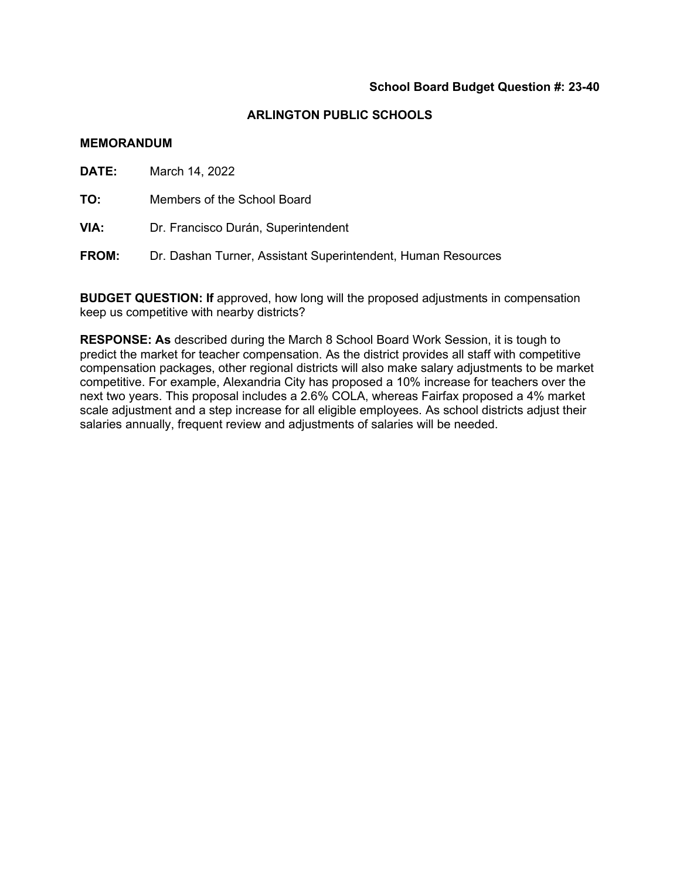#### **MEMORANDUM**

**DATE:** March 14, 2022

**TO:** Members of the School Board

**VIA:** Dr. Francisco Durán, Superintendent

**FROM:** Dr. Dashan Turner, Assistant Superintendent, Human Resources

**BUDGET QUESTION: If** approved, how long will the proposed adjustments in compensation keep us competitive with nearby districts?

**RESPONSE: As** described during the March 8 School Board Work Session, it is tough to predict the market for teacher compensation. As the district provides all staff with competitive compensation packages, other regional districts will also make salary adjustments to be market competitive. For example, Alexandria City has proposed a 10% increase for teachers over the next two years. This proposal includes a 2.6% COLA, whereas Fairfax proposed a 4% market scale adjustment and a step increase for all eligible employees. As school districts adjust their salaries annually, frequent review and adjustments of salaries will be needed.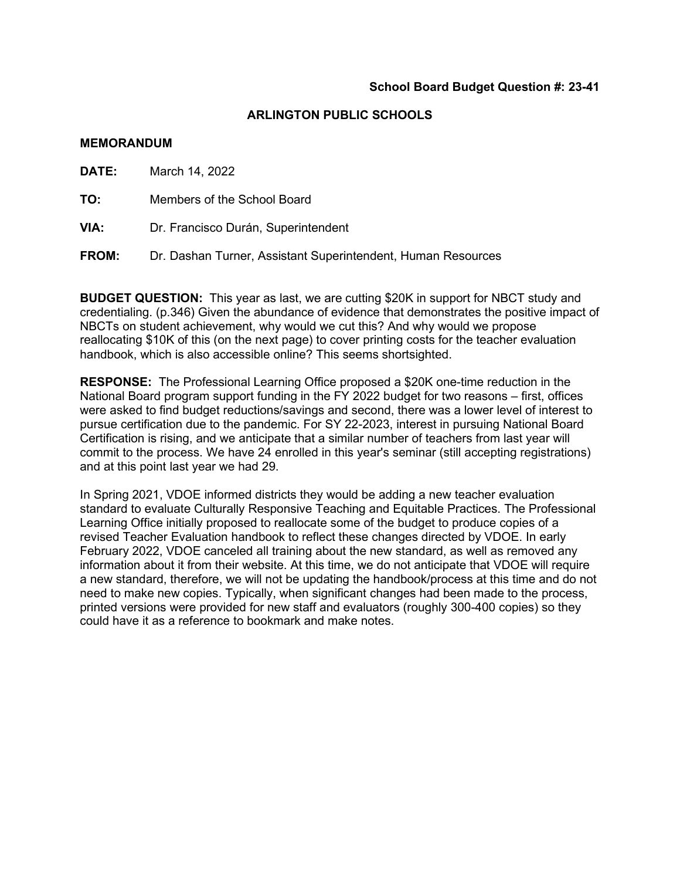#### **MEMORANDUM**

**DATE:** March 14, 2022

**TO:** Members of the School Board

**VIA:** Dr. Francisco Durán, Superintendent

**FROM:** Dr. Dashan Turner, Assistant Superintendent, Human Resources

**BUDGET QUESTION:** This year as last, we are cutting \$20K in support for NBCT study and credentialing. (p.346) Given the abundance of evidence that demonstrates the positive impact of NBCTs on student achievement, why would we cut this? And why would we propose reallocating \$10K of this (on the next page) to cover printing costs for the teacher evaluation handbook, which is also accessible online? This seems shortsighted.

**RESPONSE:** The Professional Learning Office proposed a \$20K one-time reduction in the National Board program support funding in the FY 2022 budget for two reasons – first, offices were asked to find budget reductions/savings and second, there was a lower level of interest to pursue certification due to the pandemic. For SY 22-2023, interest in pursuing National Board Certification is rising, and we anticipate that a similar number of teachers from last year will commit to the process. We have 24 enrolled in this year's seminar (still accepting registrations) and at this point last year we had 29.

In Spring 2021, VDOE informed districts they would be adding a new teacher evaluation standard to evaluate Culturally Responsive Teaching and Equitable Practices. The Professional Learning Office initially proposed to reallocate some of the budget to produce copies of a revised Teacher Evaluation handbook to reflect these changes directed by VDOE. In early February 2022, VDOE canceled all training about the new standard, as well as removed any information about it from their website. At this time, we do not anticipate that VDOE will require a new standard, therefore, we will not be updating the handbook/process at this time and do not need to make new copies. Typically, when significant changes had been made to the process, printed versions were provided for new staff and evaluators (roughly 300-400 copies) so they could have it as a reference to bookmark and make notes.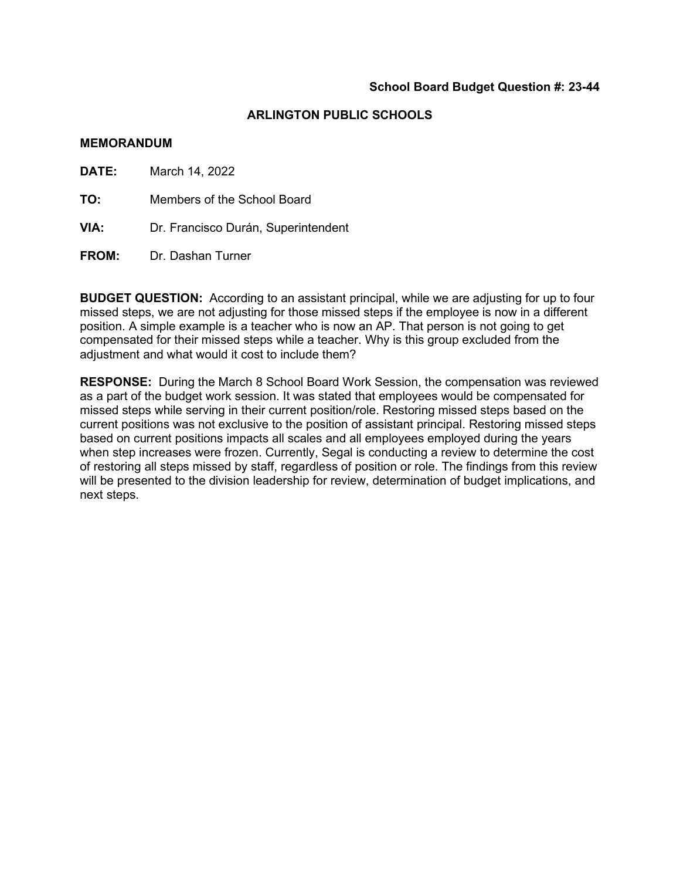#### **MEMORANDUM**

**DATE:** March 14, 2022

**TO:** Members of the School Board

- **VIA:** Dr. Francisco Durán, Superintendent
- **FROM:** Dr. Dashan Turner

**BUDGET QUESTION:** According to an assistant principal, while we are adjusting for up to four missed steps, we are not adjusting for those missed steps if the employee is now in a different position. A simple example is a teacher who is now an AP. That person is not going to get compensated for their missed steps while a teacher. Why is this group excluded from the adjustment and what would it cost to include them?

**RESPONSE:** During the March 8 School Board Work Session, the compensation was reviewed as a part of the budget work session. It was stated that employees would be compensated for missed steps while serving in their current position/role. Restoring missed steps based on the current positions was not exclusive to the position of assistant principal. Restoring missed steps based on current positions impacts all scales and all employees employed during the years when step increases were frozen. Currently, Segal is conducting a review to determine the cost of restoring all steps missed by staff, regardless of position or role. The findings from this review will be presented to the division leadership for review, determination of budget implications, and next steps.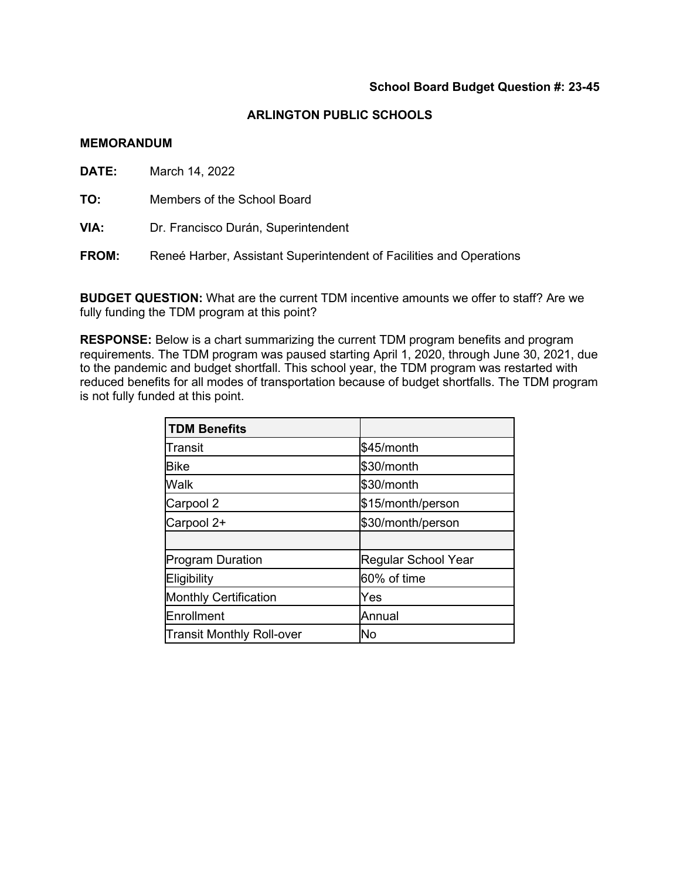#### **MEMORANDUM**

**DATE:** March 14, 2022

**TO:** Members of the School Board

**VIA:** Dr. Francisco Durán, Superintendent

**FROM:** Reneé Harber, Assistant Superintendent of Facilities and Operations

**BUDGET QUESTION:** What are the current TDM incentive amounts we offer to staff? Are we fully funding the TDM program at this point?

**RESPONSE:** Below is a chart summarizing the current TDM program benefits and program requirements. The TDM program was paused starting April 1, 2020, through June 30, 2021, due to the pandemic and budget shortfall. This school year, the TDM program was restarted with reduced benefits for all modes of transportation because of budget shortfalls. The TDM program is not fully funded at this point.

| <b>TDM Benefits</b>              |                     |
|----------------------------------|---------------------|
| Transit                          | \$45/month          |
| <b>Bike</b>                      | \$30/month          |
| Walk                             | \$30/month          |
| Carpool 2                        | \$15/month/person   |
| Carpool 2+                       | \$30/month/person   |
|                                  |                     |
| <b>Program Duration</b>          | Regular School Year |
| Eligibility                      | 60% of time         |
| <b>Monthly Certification</b>     | Yes                 |
| Enrollment                       | Annual              |
| <b>Transit Monthly Roll-over</b> | lΝo                 |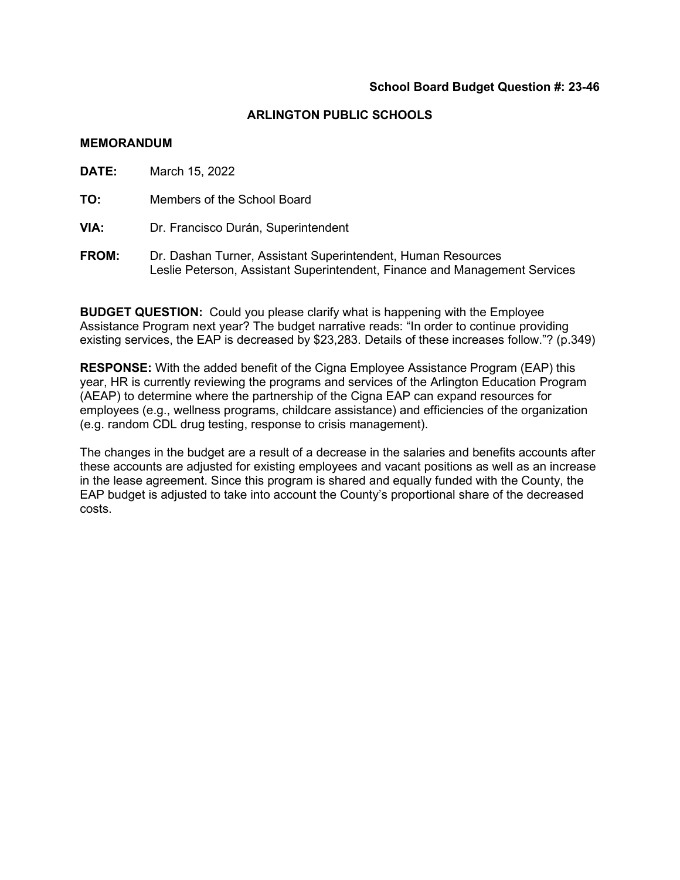#### **MEMORANDUM**

**DATE:** March 15, 2022 **TO:** Members of the School Board **VIA:** Dr. Francisco Durán, Superintendent

**FROM:** Dr. Dashan Turner, Assistant Superintendent, Human Resources Leslie Peterson, Assistant Superintendent, Finance and Management Services

**BUDGET QUESTION:** Could you please clarify what is happening with the Employee Assistance Program next year? The budget narrative reads: "In order to continue providing existing services, the EAP is decreased by \$23,283. Details of these increases follow."? (p.349)

**RESPONSE:** With the added benefit of the Cigna Employee Assistance Program (EAP) this year, HR is currently reviewing the programs and services of the Arlington Education Program (AEAP) to determine where the partnership of the Cigna EAP can expand resources for employees (e.g., wellness programs, childcare assistance) and efficiencies of the organization (e.g. random CDL drug testing, response to crisis management).

The changes in the budget are a result of a decrease in the salaries and benefits accounts after these accounts are adjusted for existing employees and vacant positions as well as an increase in the lease agreement. Since this program is shared and equally funded with the County, the EAP budget is adjusted to take into account the County's proportional share of the decreased costs.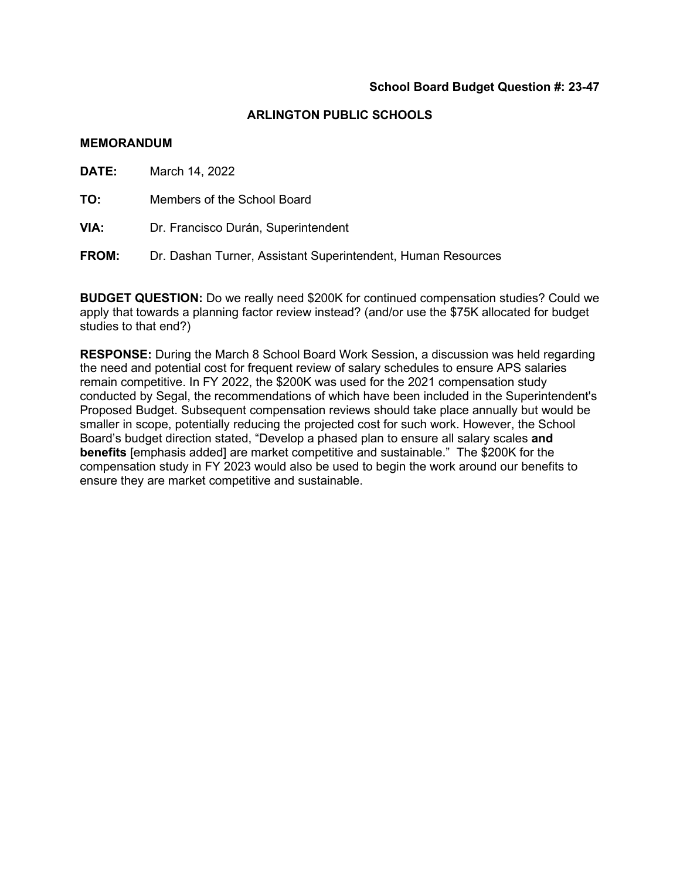#### **MEMORANDUM**

**DATE:** March 14, 2022

**TO:** Members of the School Board

**VIA:** Dr. Francisco Durán, Superintendent

**FROM:** Dr. Dashan Turner, Assistant Superintendent, Human Resources

**BUDGET QUESTION:** Do we really need \$200K for continued compensation studies? Could we apply that towards a planning factor review instead? (and/or use the \$75K allocated for budget studies to that end?)

**RESPONSE:** During the March 8 School Board Work Session, a discussion was held regarding the need and potential cost for frequent review of salary schedules to ensure APS salaries remain competitive. In FY 2022, the \$200K was used for the 2021 compensation study conducted by Segal, the recommendations of which have been included in the Superintendent's Proposed Budget. Subsequent compensation reviews should take place annually but would be smaller in scope, potentially reducing the projected cost for such work. However, the School Board's budget direction stated, "Develop a phased plan to ensure all salary scales **and benefits** [emphasis added] are market competitive and sustainable." The \$200K for the compensation study in FY 2023 would also be used to begin the work around our benefits to ensure they are market competitive and sustainable.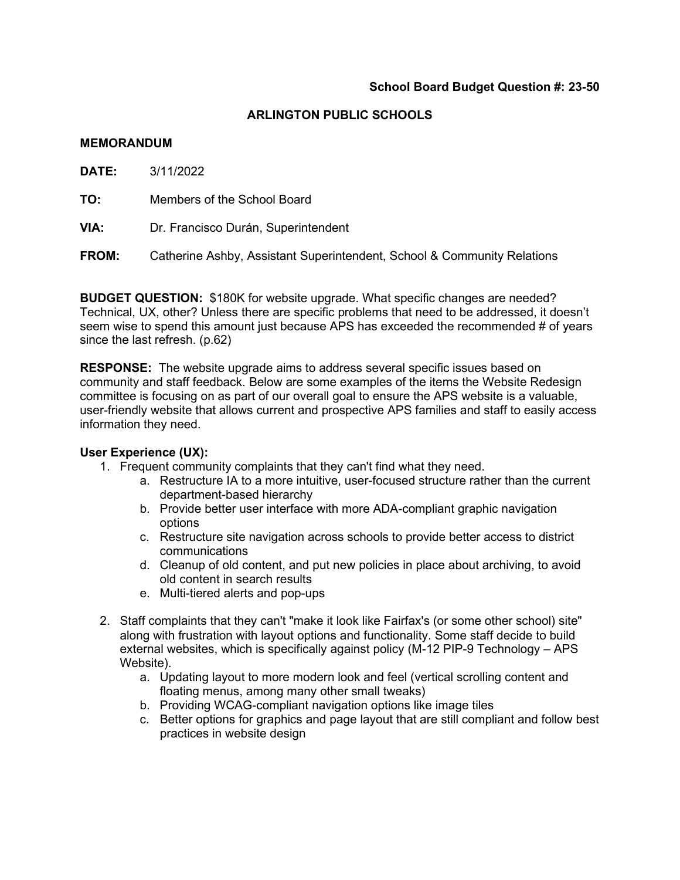#### **MEMORANDUM**

**DATE:** 3/11/2022

**TO:** Members of the School Board

**VIA:** Dr. Francisco Durán, Superintendent

**FROM:** Catherine Ashby, Assistant Superintendent, School & Community Relations

**BUDGET QUESTION:** \$180K for website upgrade. What specific changes are needed? Technical, UX, other? Unless there are specific problems that need to be addressed, it doesn't seem wise to spend this amount just because APS has exceeded the recommended # of years since the last refresh. (p.62)

**RESPONSE:** The website upgrade aims to address several specific issues based on community and staff feedback. Below are some examples of the items the Website Redesign committee is focusing on as part of our overall goal to ensure the APS website is a valuable, user-friendly website that allows current and prospective APS families and staff to easily access information they need.

## **User Experience (UX):**

- 1. Frequent community complaints that they can't find what they need.
	- a. Restructure IA to a more intuitive, user-focused structure rather than the current department-based hierarchy
	- b. Provide better user interface with more ADA-compliant graphic navigation options
	- c. Restructure site navigation across schools to provide better access to district communications
	- d. Cleanup of old content, and put new policies in place about archiving, to avoid old content in search results
	- e. Multi-tiered alerts and pop-ups
- 2. Staff complaints that they can't "make it look like Fairfax's (or some other school) site" along with frustration with layout options and functionality. Some staff decide to build external websites, which is specifically against policy (M-12 PIP-9 Technology – APS Website).
	- a. Updating layout to more modern look and feel (vertical scrolling content and floating menus, among many other small tweaks)
	- b. Providing WCAG-compliant navigation options like image tiles
	- c. Better options for graphics and page layout that are still compliant and follow best practices in website design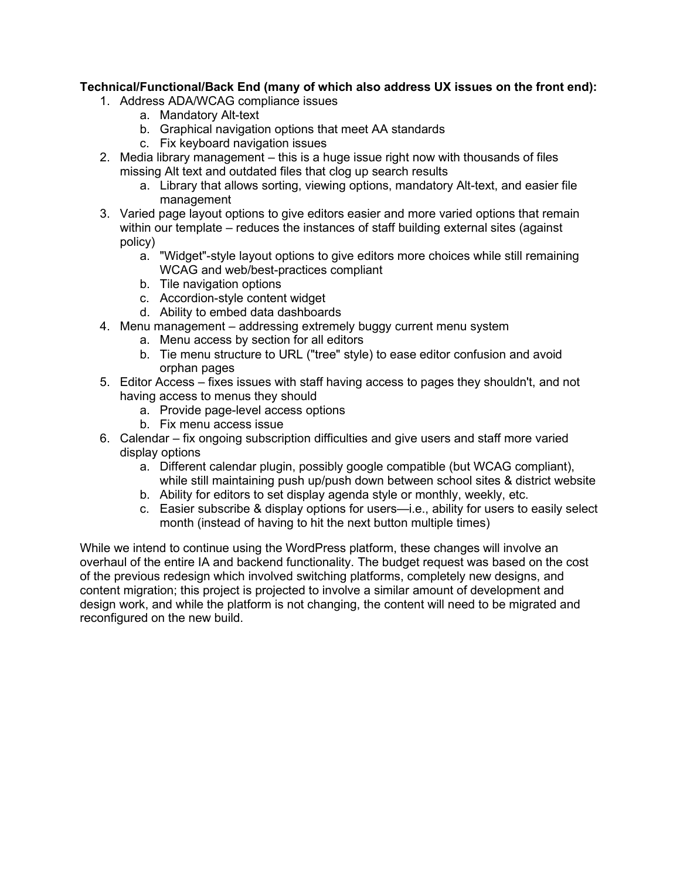# **Technical/Functional/Back End (many of which also address UX issues on the front end):**

- 1. Address ADA/WCAG compliance issues
	- a. Mandatory Alt-text
	- b. Graphical navigation options that meet AA standards
	- c. Fix keyboard navigation issues
- 2. Media library management this is a huge issue right now with thousands of files missing Alt text and outdated files that clog up search results
	- a. Library that allows sorting, viewing options, mandatory Alt-text, and easier file management
- 3. Varied page layout options to give editors easier and more varied options that remain within our template – reduces the instances of staff building external sites (against policy)
	- a. "Widget"-style layout options to give editors more choices while still remaining WCAG and web/best-practices compliant
	- b. Tile navigation options
	- c. Accordion-style content widget
	- d. Ability to embed data dashboards
- 4. Menu management addressing extremely buggy current menu system
	- a. Menu access by section for all editors
	- b. Tie menu structure to URL ("tree" style) to ease editor confusion and avoid orphan pages
- 5. Editor Access fixes issues with staff having access to pages they shouldn't, and not having access to menus they should
	- a. Provide page-level access options
	- b. Fix menu access issue
- 6. Calendar fix ongoing subscription difficulties and give users and staff more varied display options
	- a. Different calendar plugin, possibly google compatible (but WCAG compliant), while still maintaining push up/push down between school sites & district website
	- b. Ability for editors to set display agenda style or monthly, weekly, etc.
	- c. Easier subscribe & display options for users—i.e., ability for users to easily select month (instead of having to hit the next button multiple times)

While we intend to continue using the WordPress platform, these changes will involve an overhaul of the entire IA and backend functionality. The budget request was based on the cost of the previous redesign which involved switching platforms, completely new designs, and content migration; this project is projected to involve a similar amount of development and design work, and while the platform is not changing, the content will need to be migrated and reconfigured on the new build.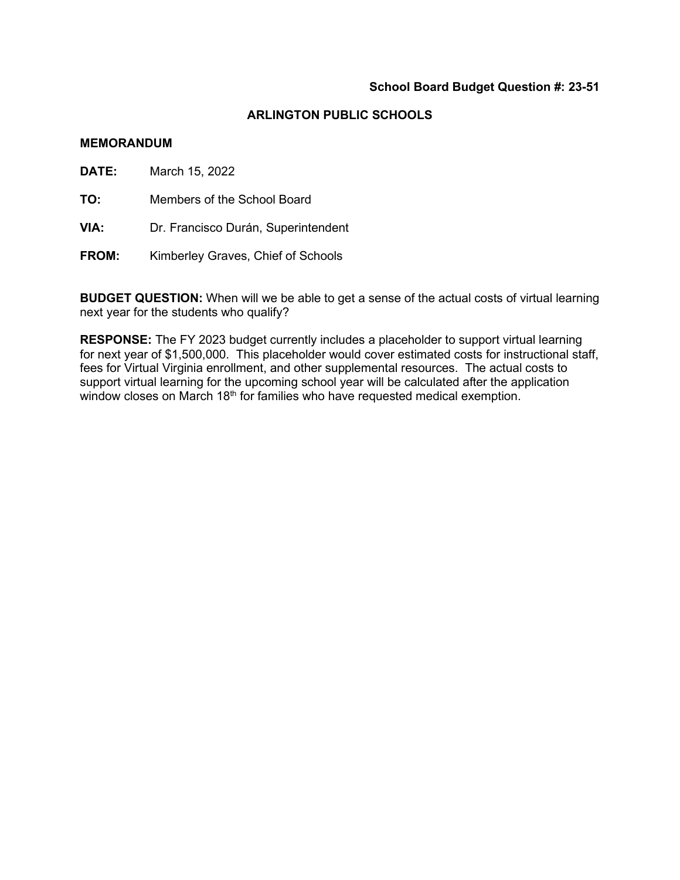#### **ARLINGTON PUBLIC SCHOOLS**

#### **MEMORANDUM**

**DATE:** March 15, 2022

**TO:** Members of the School Board

**VIA:** Dr. Francisco Durán, Superintendent

**FROM:** Kimberley Graves, Chief of Schools

**BUDGET QUESTION:** When will we be able to get a sense of the actual costs of virtual learning next year for the students who qualify?

**RESPONSE:** The FY 2023 budget currently includes a placeholder to support virtual learning for next year of \$1,500,000.This placeholder would cover estimated costs for instructional staff, fees for Virtual Virginia enrollment, and other supplemental resources. The actual costs to support virtual learning for the upcoming school year will be calculated after the application window closes on March 18<sup>th</sup> for families who have requested medical exemption.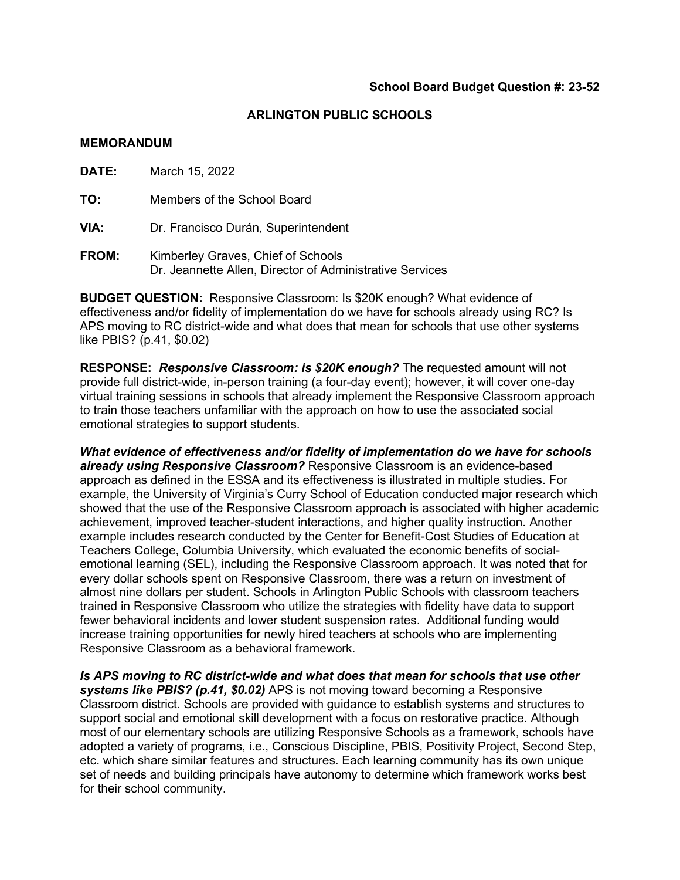#### **MEMORANDUM**

**DATE:** March 15, 2022

**TO:** Members of the School Board

**VIA:** Dr. Francisco Durán, Superintendent

**FROM:** Kimberley Graves, Chief of Schools Dr. Jeannette Allen, Director of Administrative Services

**BUDGET QUESTION:** Responsive Classroom: Is \$20K enough? What evidence of effectiveness and/or fidelity of implementation do we have for schools already using RC? Is APS moving to RC district-wide and what does that mean for schools that use other systems like PBIS? (p.41, \$0.02)

**RESPONSE:** *Responsive Classroom: is \$20K enough?* The requested amount will not provide full district-wide, in-person training (a four-day event); however, it will cover one-day virtual training sessions in schools that already implement the Responsive Classroom approach to train those teachers unfamiliar with the approach on how to use the associated social emotional strategies to support students.

*What evidence of effectiveness and/or fidelity of implementation do we have for schools already using Responsive Classroom?* Responsive Classroom is an evidence-based approach as defined in the ESSA and its effectiveness is illustrated in multiple studies. For example, the University of Virginia's Curry School of Education conducted major research which showed that the use of the Responsive Classroom approach is associated with higher academic achievement, improved teacher-student interactions, and higher quality instruction. Another example includes research conducted by the Center for Benefit-Cost Studies of Education at Teachers College, Columbia University, which evaluated the economic benefits of socialemotional learning (SEL), including the Responsive Classroom approach. It was noted that for every dollar schools spent on Responsive Classroom, there was a return on investment of almost nine dollars per student. Schools in Arlington Public Schools with classroom teachers trained in Responsive Classroom who utilize the strategies with fidelity have data to support fewer behavioral incidents and lower student suspension rates. Additional funding would increase training opportunities for newly hired teachers at schools who are implementing Responsive Classroom as a behavioral framework.

*Is APS moving to RC district-wide and what does that mean for schools that use other systems like PBIS? (p.41, \$0.02)* APS is not moving toward becoming a Responsive Classroom district. Schools are provided with guidance to establish systems and structures to support social and emotional skill development with a focus on restorative practice. Although most of our elementary schools are utilizing Responsive Schools as a framework, schools have adopted a variety of programs, i.e., Conscious Discipline, PBIS, Positivity Project, Second Step, etc. which share similar features and structures. Each learning community has its own unique set of needs and building principals have autonomy to determine which framework works best for their school community.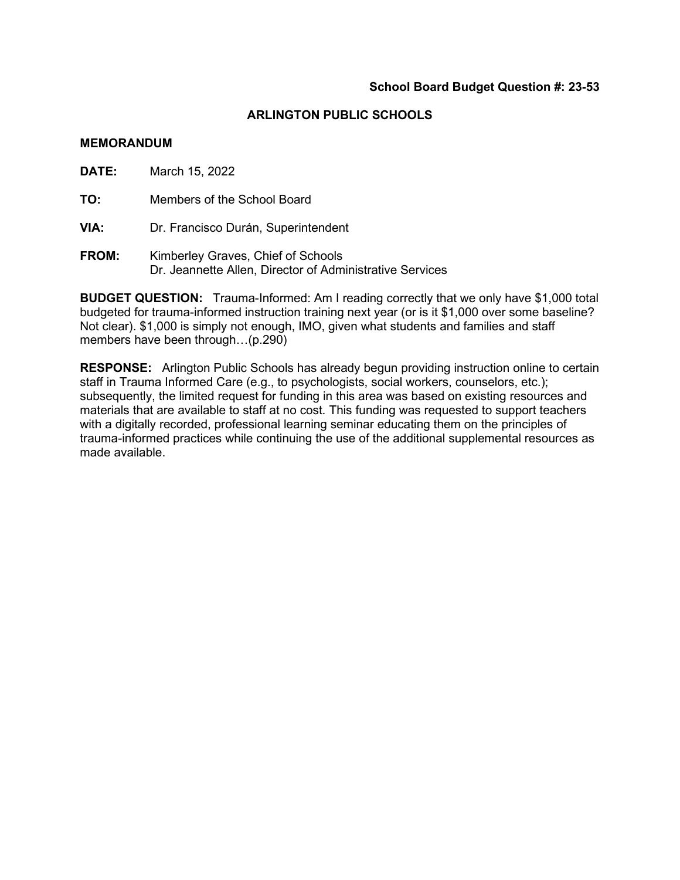#### **MEMORANDUM**

**DATE:** March 15, 2022

**TO:** Members of the School Board

**VIA:** Dr. Francisco Durán, Superintendent

**FROM:** Kimberley Graves, Chief of Schools Dr. Jeannette Allen, Director of Administrative Services

**BUDGET QUESTION:** Trauma-Informed: Am I reading correctly that we only have \$1,000 total budgeted for trauma-informed instruction training next year (or is it \$1,000 over some baseline? Not clear). \$1,000 is simply not enough, IMO, given what students and families and staff members have been through…(p.290)

**RESPONSE:** Arlington Public Schools has already begun providing instruction online to certain staff in Trauma Informed Care (e.g., to psychologists, social workers, counselors, etc.); subsequently, the limited request for funding in this area was based on existing resources and materials that are available to staff at no cost. This funding was requested to support teachers with a digitally recorded, professional learning seminar educating them on the principles of trauma-informed practices while continuing the use of the additional supplemental resources as made available.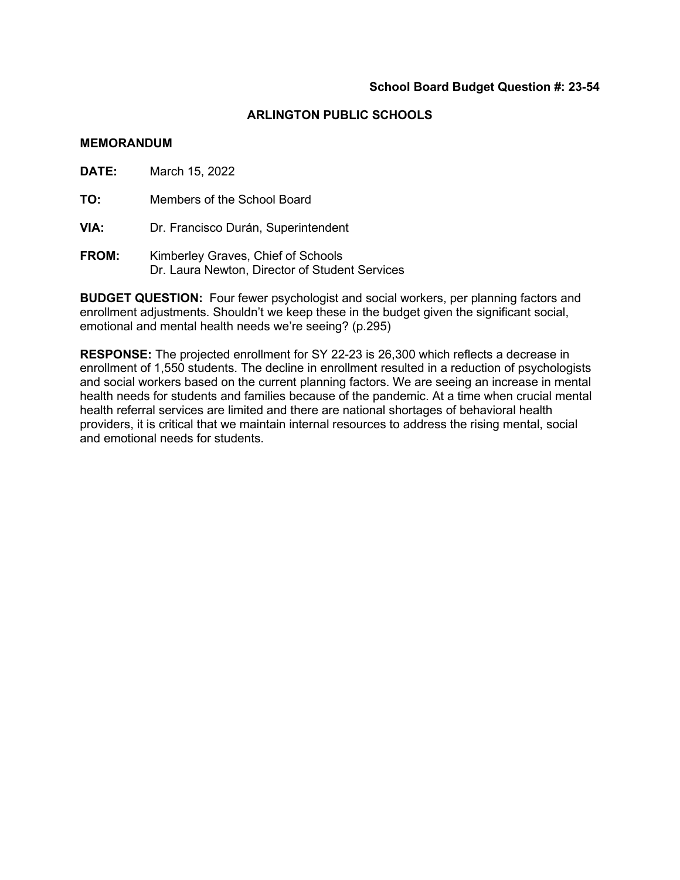#### **MEMORANDUM**

**DATE:** March 15, 2022

**TO:** Members of the School Board

**VIA:** Dr. Francisco Durán, Superintendent

**FROM:** Kimberley Graves, Chief of Schools Dr. Laura Newton, Director of Student Services

**BUDGET QUESTION:** Four fewer psychologist and social workers, per planning factors and enrollment adjustments. Shouldn't we keep these in the budget given the significant social, emotional and mental health needs we're seeing? (p.295)

**RESPONSE:** The projected enrollment for SY 22-23 is 26,300 which reflects a decrease in enrollment of 1,550 students. The decline in enrollment resulted in a reduction of psychologists and social workers based on the current planning factors. We are seeing an increase in mental health needs for students and families because of the pandemic. At a time when crucial mental health referral services are limited and there are national shortages of behavioral health providers, it is critical that we maintain internal resources to address the rising mental, social and emotional needs for students.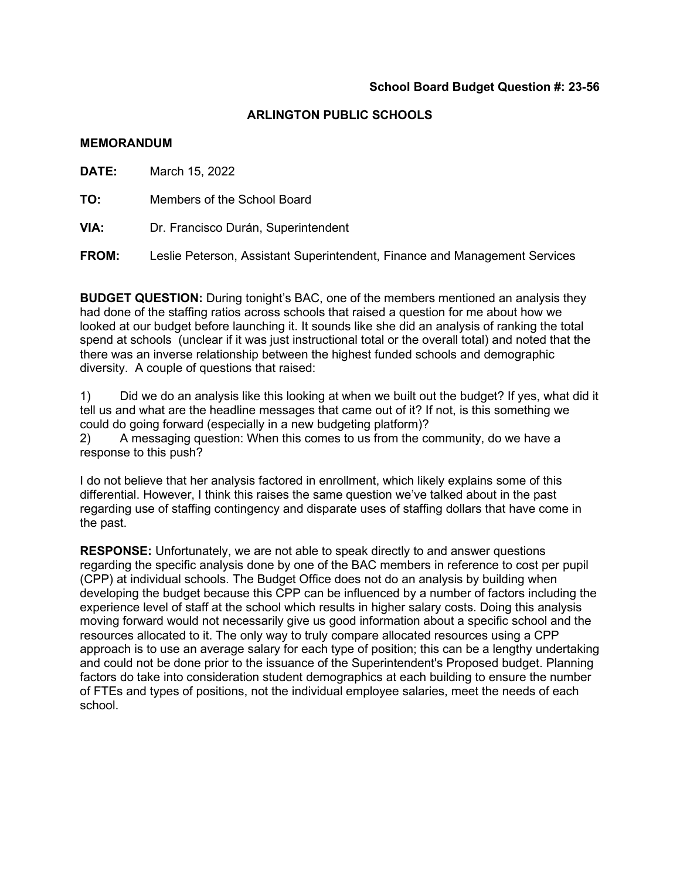#### **MEMORANDUM**

**DATE:** March 15, 2022

**TO:** Members of the School Board

**VIA:** Dr. Francisco Durán, Superintendent

**FROM:** Leslie Peterson, Assistant Superintendent, Finance and Management Services

**BUDGET QUESTION:** During tonight's BAC, one of the members mentioned an analysis they had done of the staffing ratios across schools that raised a question for me about how we looked at our budget before launching it. It sounds like she did an analysis of ranking the total spend at schools (unclear if it was just instructional total or the overall total) and noted that the there was an inverse relationship between the highest funded schools and demographic diversity. A couple of questions that raised:

1) Did we do an analysis like this looking at when we built out the budget? If yes, what did it tell us and what are the headline messages that came out of it? If not, is this something we could do going forward (especially in a new budgeting platform)?

2) A messaging question: When this comes to us from the community, do we have a response to this push?

I do not believe that her analysis factored in enrollment, which likely explains some of this differential. However, I think this raises the same question we've talked about in the past regarding use of staffing contingency and disparate uses of staffing dollars that have come in the past.

**RESPONSE:** Unfortunately, we are not able to speak directly to and answer questions regarding the specific analysis done by one of the BAC members in reference to cost per pupil (CPP) at individual schools. The Budget Office does not do an analysis by building when developing the budget because this CPP can be influenced by a number of factors including the experience level of staff at the school which results in higher salary costs. Doing this analysis moving forward would not necessarily give us good information about a specific school and the resources allocated to it. The only way to truly compare allocated resources using a CPP approach is to use an average salary for each type of position; this can be a lengthy undertaking and could not be done prior to the issuance of the Superintendent's Proposed budget. Planning factors do take into consideration student demographics at each building to ensure the number of FTEs and types of positions, not the individual employee salaries, meet the needs of each school.